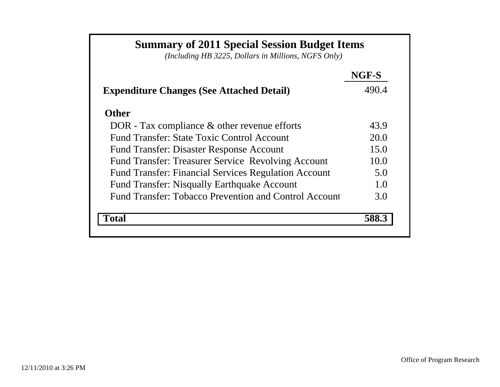# **Summary of 2011 Special Session Budget Items**

*(Including HB 3225, Dollars in Millions, NGFS Only)*

|                                                             | NGF-S |
|-------------------------------------------------------------|-------|
| <b>Expenditure Changes (See Attached Detail)</b>            | 490.4 |
| <b>Other</b>                                                |       |
| DOR - Tax compliance $\&$ other revenue efforts             | 43.9  |
| Fund Transfer: State Toxic Control Account                  | 20.0  |
| <b>Fund Transfer: Disaster Response Account</b>             | 15.0  |
| <b>Fund Transfer: Treasurer Service Revolving Account</b>   | 10.0  |
| <b>Fund Transfer: Financial Services Regulation Account</b> | 5.0   |
| <b>Fund Transfer: Nisqually Earthquake Account</b>          | 1.0   |
| Fund Transfer: Tobacco Prevention and Control Account       | 3.0   |
| 'otal                                                       |       |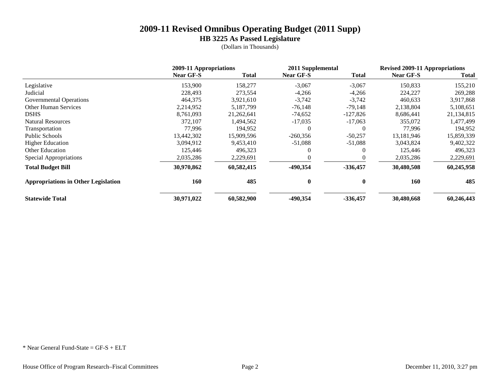**HB 3225 As Passed Legislature**

(Dollars in Thousands)

|                                            | 2009-11 Appropriations |              | 2011 Supplemental |            | <b>Revised 2009-11 Appropriations</b> |              |
|--------------------------------------------|------------------------|--------------|-------------------|------------|---------------------------------------|--------------|
|                                            | <b>Near GF-S</b>       | <b>Total</b> | <b>Near GF-S</b>  | Total      | <b>Near GF-S</b>                      | <b>Total</b> |
| Legislative                                | 153,900                | 158,277      | $-3,067$          | $-3,067$   | 150,833                               | 155,210      |
| Judicial                                   | 228,493                | 273,554      | $-4,266$          | $-4,266$   | 224,227                               | 269,288      |
| <b>Governmental Operations</b>             | 464,375                | 3,921,610    | $-3,742$          | $-3,742$   | 460,633                               | 3,917,868    |
| <b>Other Human Services</b>                | 2,214,952              | 5,187,799    | $-76,148$         | $-79,148$  | 2,138,804                             | 5,108,651    |
| <b>DSHS</b>                                | 8,761,093              | 21,262,641   | $-74,652$         | $-127,826$ | 8,686,441                             | 21,134,815   |
| <b>Natural Resources</b>                   | 372,107                | 1,494,562    | $-17,035$         | $-17,063$  | 355,072                               | 1,477,499    |
| Transportation                             | 77.996                 | 194,952      | 0                 | $\Omega$   | 77,996                                | 194,952      |
| Public Schools                             | 13,442,302             | 15,909,596   | $-260,356$        | $-50,257$  | 13,181,946                            | 15,859,339   |
| <b>Higher Education</b>                    | 3,094,912              | 9,453,410    | $-51,088$         | $-51,088$  | 3,043,824                             | 9,402,322    |
| Other Education                            | 125,446                | 496,323      |                   | 0          | 125,446                               | 496,323      |
| <b>Special Appropriations</b>              | 2,035,286              | 2,229,691    |                   | 0          | 2,035,286                             | 2,229,691    |
| <b>Total Budget Bill</b>                   | 30,970,862             | 60,582,415   | $-490,354$        | $-336,457$ | 30,480,508                            | 60,245,958   |
| <b>Appropriations in Other Legislation</b> | <b>160</b>             | 485          | 0                 | 0          | 160                                   | 485          |
| <b>Statewide Total</b>                     | 30,971,022             | 60,582,900   | -490,354          | $-336,457$ | 30,480,668                            | 60,246,443   |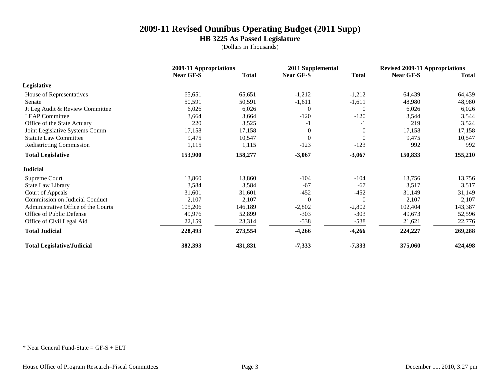**HB 3225 As Passed Legislature**

(Dollars in Thousands)

|                                       | 2009-11 Appropriations |              | 2011 Supplemental |              | <b>Revised 2009-11 Appropriations</b> |              |
|---------------------------------------|------------------------|--------------|-------------------|--------------|---------------------------------------|--------------|
|                                       | Near GF-S              | <b>Total</b> | Near GF-S         | <b>Total</b> | Near GF-S                             | <b>Total</b> |
| Legislative                           |                        |              |                   |              |                                       |              |
| House of Representatives              | 65,651                 | 65,651       | $-1,212$          | $-1,212$     | 64,439                                | 64,439       |
| Senate                                | 50,591                 | 50,591       | $-1,611$          | $-1,611$     | 48,980                                | 48,980       |
| Jt Leg Audit & Review Committee       | 6,026                  | 6,026        | $\overline{0}$    | $\Omega$     | 6,026                                 | 6,026        |
| <b>LEAP Committee</b>                 | 3,664                  | 3,664        | $-120$            | $-120$       | 3,544                                 | 3,544        |
| Office of the State Actuary           | 220                    | 3,525        | -1                | $-1$         | 219                                   | 3,524        |
| Joint Legislative Systems Comm        | 17,158                 | 17,158       | $\Omega$          | $\theta$     | 17,158                                | 17,158       |
| <b>Statute Law Committee</b>          | 9,475                  | 10,547       | $\theta$          | $\theta$     | 9,475                                 | 10,547       |
| <b>Redistricting Commission</b>       | 1,115                  | 1,115        | $-123$            | $-123$       | 992                                   | 992          |
| <b>Total Legislative</b>              | 153,900                | 158,277      | $-3,067$          | $-3,067$     | 150,833                               | 155,210      |
| <b>Judicial</b>                       |                        |              |                   |              |                                       |              |
| Supreme Court                         | 13,860                 | 13,860       | $-104$            | $-104$       | 13,756                                | 13,756       |
| State Law Library                     | 3,584                  | 3,584        | $-67$             | $-67$        | 3,517                                 | 3,517        |
| Court of Appeals                      | 31,601                 | 31,601       | $-452$            | $-452$       | 31,149                                | 31,149       |
| <b>Commission on Judicial Conduct</b> | 2,107                  | 2,107        | $\Omega$          | $\theta$     | 2,107                                 | 2,107        |
| Administrative Office of the Courts   | 105,206                | 146,189      | $-2,802$          | $-2,802$     | 102,404                               | 143,387      |
| Office of Public Defense              | 49,976                 | 52,899       | $-303$            | $-303$       | 49,673                                | 52,596       |
| Office of Civil Legal Aid             | 22,159                 | 23,314       | $-538$            | $-538$       | 21,621                                | 22,776       |
| <b>Total Judicial</b>                 | 228,493                | 273,554      | $-4,266$          | $-4,266$     | 224,227                               | 269,288      |
| <b>Total Legislative/Judicial</b>     | 382,393                | 431,831      | $-7,333$          | $-7,333$     | 375,060                               | 424,498      |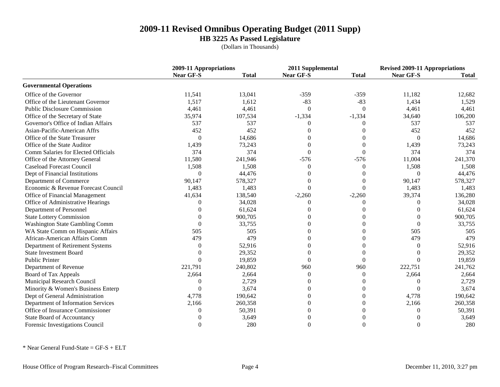**HB 3225 As Passed Legislature**

(Dollars in Thousands)

|                                     |                  | 2009-11 Appropriations |                  | 2011 Supplemental |                  | <b>Revised 2009-11 Appropriations</b> |  |
|-------------------------------------|------------------|------------------------|------------------|-------------------|------------------|---------------------------------------|--|
|                                     | <b>Near GF-S</b> | <b>Total</b>           | <b>Near GF-S</b> | <b>Total</b>      | <b>Near GF-S</b> | <b>Total</b>                          |  |
| <b>Governmental Operations</b>      |                  |                        |                  |                   |                  |                                       |  |
| Office of the Governor              | 11,541           | 13,041                 | $-359$           | $-359$            | 11,182           | 12,682                                |  |
| Office of the Lieutenant Governor   | 1,517            | 1,612                  | $-83$            | $-83$             | 1,434            | 1,529                                 |  |
| <b>Public Disclosure Commission</b> | 4,461            | 4,461                  | $\theta$         | $\theta$          | 4,461            | 4,461                                 |  |
| Office of the Secretary of State    | 35,974           | 107,534                | $-1,334$         | $-1,334$          | 34,640           | 106,200                               |  |
| Governor's Office of Indian Affairs | 537              | 537                    | 0                | 0                 | 537              | 537                                   |  |
| Asian-Pacific-American Affrs        | 452              | 452                    | 0                | 0                 | 452              | 452                                   |  |
| Office of the State Treasurer       | $\Omega$         | 14,686                 |                  | 0                 | $\overline{0}$   | 14,686                                |  |
| Office of the State Auditor         | 1,439            | 73,243                 | 0                | 0                 | 1,439            | 73,243                                |  |
| Comm Salaries for Elected Officials | 374              | 374                    | $\Omega$         | 0                 | 374              | 374                                   |  |
| Office of the Attorney General      | 11,580           | 241,946                | $-576$           | $-576$            | 11,004           | 241,370                               |  |
| <b>Caseload Forecast Council</b>    | 1,508            | 1,508                  | $\Omega$         | $\Omega$          | 1,508            | 1,508                                 |  |
| Dept of Financial Institutions      | $\theta$         | 44,476                 | 0                | 0                 | $\theta$         | 44,476                                |  |
| Department of Commerce              | 90,147           | 578,327                | 0                | $\Omega$          | 90,147           | 578,327                               |  |
| Economic & Revenue Forecast Council | 1,483            | 1,483                  | $\Omega$         | $\Omega$          | 1,483            | 1,483                                 |  |
| Office of Financial Management      | 41,634           | 138,540                | $-2,260$         | $-2,260$          | 39,374           | 136,280                               |  |
| Office of Administrative Hearings   | $\Omega$         | 34,028                 | $\Omega$         | $\Omega$          | 0                | 34,028                                |  |
| Department of Personnel             | 0                | 61,624                 | 0                | $\Omega$          | $\Omega$         | 61,624                                |  |
| <b>State Lottery Commission</b>     | $\Omega$         | 900,705                | 0                | $\Omega$          | 0                | 900,705                               |  |
| Washington State Gambling Comm      | $\Omega$         | 33,755                 | 0                | $\theta$          | $\Omega$         | 33,755                                |  |
| WA State Comm on Hispanic Affairs   | 505              | 505                    | 0                | $\theta$          | 505              | 505                                   |  |
| African-American Affairs Comm       | 479              | 479                    | 0                | 0                 | 479              | 479                                   |  |
| Department of Retirement Systems    | 0                | 52,916                 | 0                | $\Omega$          | 0                | 52,916                                |  |
| <b>State Investment Board</b>       | ∩                | 29,352                 | 0                | $\theta$          | 0                | 29,352                                |  |
| <b>Public Printer</b>               | $\Omega$         | 19,859                 | 0                | $\Omega$          | 0                | 19,859                                |  |
| Department of Revenue               | 221,791          | 240,802                | 960              | 960               | 222,751          | 241,762                               |  |
| Board of Tax Appeals                | 2,664            | 2,664                  | $\Omega$         | $\Omega$          | 2,664            | 2,664                                 |  |
| Municipal Research Council          | $\theta$         | 2,729                  | 0                | $\Omega$          | $\Omega$         | 2,729                                 |  |
| Minority & Women's Business Enterp  | $\Omega$         | 3,674                  | 0                | $\overline{0}$    | $\Omega$         | 3,674                                 |  |
| Dept of General Administration      | 4,778            | 190,642                | 0                | $\overline{0}$    | 4,778            | 190,642                               |  |
| Department of Information Services  | 2,166            | 260,358                | 0                | $\overline{0}$    | 2,166            | 260,358                               |  |
| Office of Insurance Commissioner    | 0                | 50,391                 | 0                | $\Omega$          | $\Omega$         | 50,391                                |  |
| <b>State Board of Accountancy</b>   |                  | 3,649                  | 0                | $\overline{0}$    | 0                | 3,649                                 |  |
| Forensic Investigations Council     | $\Omega$         | 280                    | 0                | $\theta$          | 0                | 280                                   |  |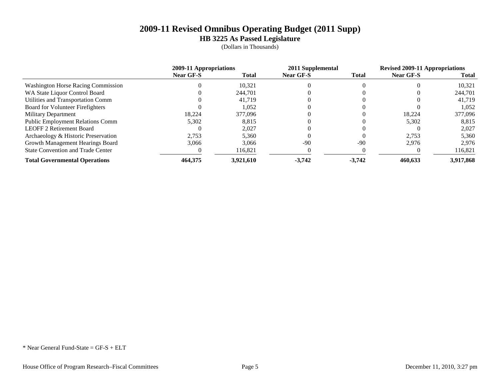**HB 3225 As Passed Legislature**

(Dollars in Thousands)

|                                           | 2009-11 Appropriations |              | 2011 Supplemental |              | <b>Revised 2009-11 Appropriations</b> |              |
|-------------------------------------------|------------------------|--------------|-------------------|--------------|---------------------------------------|--------------|
|                                           | <b>Near GF-S</b>       | <b>Total</b> | <b>Near GF-S</b>  | <b>Total</b> | <b>Near GF-S</b>                      | <b>Total</b> |
| <b>Washington Horse Racing Commission</b> |                        | 10,321       |                   |              |                                       | 10.321       |
| WA State Liquor Control Board             |                        | 244.701      |                   |              |                                       | 244,701      |
| Utilities and Transportation Comm         |                        | 41.719       |                   |              |                                       | 41.719       |
| Board for Volunteer Firefighters          |                        | 1,052        |                   |              |                                       | 1.052        |
| <b>Military Department</b>                | 18.224                 | 377,096      |                   |              | 18.224                                | 377,096      |
| <b>Public Employment Relations Comm</b>   | 5,302                  | 8,815        |                   |              | 5,302                                 | 8,815        |
| <b>LEOFF 2 Retirement Board</b>           |                        | 2.027        |                   |              |                                       | 2.027        |
| Archaeology & Historic Preservation       | 2,753                  | 5,360        |                   |              | 2,753                                 | 5,360        |
| Growth Management Hearings Board          | 3.066                  | 3,066        | $-90$             | $-90$        | 2.976                                 | 2,976        |
| <b>State Convention and Trade Center</b>  |                        | 116,821      |                   |              |                                       | 116,821      |
| <b>Total Governmental Operations</b>      | 464,375                | 3.921.610    | $-3,742$          | $-3,742$     | 460.633                               | 3,917,868    |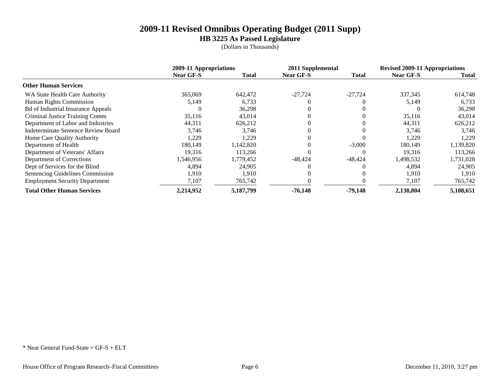**HB 3225 As Passed Legislature**

(Dollars in Thousands)

|                                           | 2009-11 Appropriations |              | 2011 Supplemental |              | <b>Revised 2009-11 Appropriations</b> |           |
|-------------------------------------------|------------------------|--------------|-------------------|--------------|---------------------------------------|-----------|
|                                           | <b>Near GF-S</b>       | <b>Total</b> | <b>Near GF-S</b>  | <b>Total</b> | <b>Near GF-S</b>                      | Total     |
| <b>Other Human Services</b>               |                        |              |                   |              |                                       |           |
| WA State Health Care Authority            | 365,069                | 642,472      | $-27,724$         | $-27,724$    | 337,345                               | 614,748   |
| Human Rights Commission                   | 5,149                  | 6,733        |                   |              | 5,149                                 | 6,733     |
| <b>Bd of Industrial Insurance Appeals</b> |                        | 36,298       |                   |              |                                       | 36,298    |
| Criminal Justice Training Comm            | 35,116                 | 43,014       |                   |              | 35,116                                | 43,014    |
| Department of Labor and Industries        | 44,311                 | 626,212      |                   |              | 44,311                                | 626,212   |
| Indeterminate Sentence Review Board       | 3,746                  | 3,746        |                   |              | 3,746                                 | 3,746     |
| Home Care Quality Authority               | 1,229                  | 1,229        |                   |              | 1.229                                 | 1,229     |
| Department of Health                      | 180,149                | ,142,820     |                   | $-3,000$     | 180,149                               | 1,139,820 |
| Department of Veterans' Affairs           | 19.316                 | 113.266      |                   |              | 19.316                                | 113,266   |
| Department of Corrections                 | 546,956                | .779,452     | $-48,424$         | $-48,424$    | 1,498,532                             | 1,731,028 |
| Dept of Services for the Blind            | 4,894                  | 24,905       |                   |              | 4,894                                 | 24,905    |
| Sentencing Guidelines Commission          | 1.910                  | 1.910        |                   |              | 1.910                                 | 1,910     |
| <b>Employment Security Department</b>     | 7,107                  | 765,742      |                   |              | 7,107                                 | 765,742   |
| <b>Total Other Human Services</b>         | 2,214,952              | 5,187,799    | $-76.148$         | $-79,148$    | 2,138,804                             | 5,108,651 |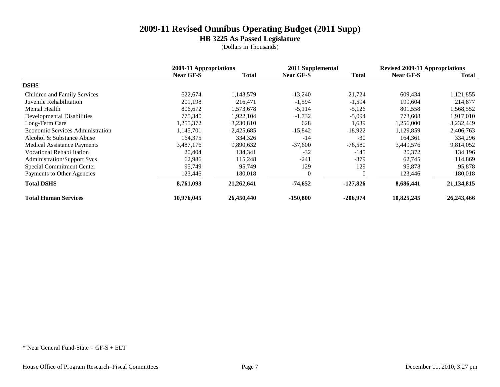**HB 3225 As Passed Legislature**

(Dollars in Thousands)

|                                         | 2009-11 Appropriations |              |                  | 2011 Supplemental |                  | <b>Revised 2009-11 Appropriations</b> |  |
|-----------------------------------------|------------------------|--------------|------------------|-------------------|------------------|---------------------------------------|--|
|                                         | <b>Near GF-S</b>       | <b>Total</b> | <b>Near GF-S</b> | <b>Total</b>      | <b>Near GF-S</b> | Total                                 |  |
| <b>DSHS</b>                             |                        |              |                  |                   |                  |                                       |  |
| Children and Family Services            | 622,674                | 1,143,579    | $-13,240$        | $-21,724$         | 609,434          | 1,121,855                             |  |
| Juvenile Rehabilitation                 | 201,198                | 216,471      | $-1,594$         | $-1,594$          | 199,604          | 214,877                               |  |
| Mental Health                           | 806,672                | .573,678     | $-5,114$         | $-5,126$          | 801,558          | 1,568,552                             |  |
| <b>Developmental Disabilities</b>       | 775,340                | 1,922,104    | $-1,732$         | $-5,094$          | 773,608          | 1,917,010                             |  |
| Long-Term Care                          | 1,255,372              | 3,230,810    | 628              | 1,639             | 1,256,000        | 3,232,449                             |  |
| <b>Economic Services Administration</b> | 1,145,701              | 2,425,685    | $-15,842$        | $-18,922$         | 1,129,859        | 2,406,763                             |  |
| Alcohol & Substance Abuse               | 164,375                | 334,326      | $-14$            | $-30$             | 164,361          | 334,296                               |  |
| <b>Medical Assistance Payments</b>      | 3,487,176              | 9,890,632    | $-37,600$        | $-76,580$         | 3,449,576        | 9,814,052                             |  |
| <b>Vocational Rehabilitation</b>        | 20,404                 | 134,341      | $-32$            | $-145$            | 20,372           | 134,196                               |  |
| <b>Administration/Support Svcs</b>      | 62,986                 | 115,248      | $-241$           | $-379$            | 62,745           | 114,869                               |  |
| <b>Special Commitment Center</b>        | 95,749                 | 95,749       | 129              | 129               | 95,878           | 95,878                                |  |
| Payments to Other Agencies              | 123,446                | 180,018      | $\overline{0}$   | 0                 | 123,446          | 180,018                               |  |
| <b>Total DSHS</b>                       | 8,761,093              | 21,262,641   | $-74,652$        | $-127,826$        | 8,686,441        | 21,134,815                            |  |
| <b>Total Human Services</b>             | 10,976,045             | 26,450,440   | $-150,800$       | $-206,974$        | 10,825,245       | 26,243,466                            |  |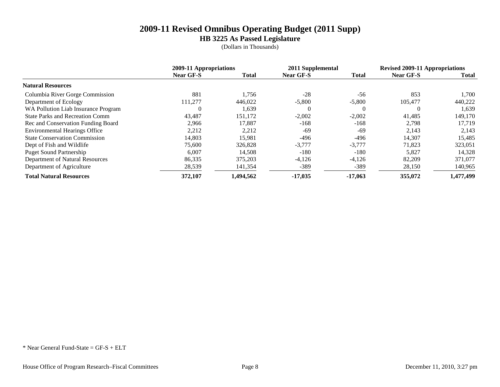**HB 3225 As Passed Legislature**

(Dollars in Thousands)

|                                        | 2009-11 Appropriations |              | 2011 Supplemental |              | <b>Revised 2009-11 Appropriations</b> |              |
|----------------------------------------|------------------------|--------------|-------------------|--------------|---------------------------------------|--------------|
|                                        | <b>Near GF-S</b>       | <b>Total</b> | <b>Near GF-S</b>  | <b>Total</b> | <b>Near GF-S</b>                      | <b>Total</b> |
| <b>Natural Resources</b>               |                        |              |                   |              |                                       |              |
| Columbia River Gorge Commission        | 881                    | 1.756        | $-28$             | $-56$        | 853                                   | 1,700        |
| Department of Ecology                  | 111,277                | 446.022      | $-5,800$          | $-5,800$     | 105,477                               | 440,222      |
| WA Pollution Liab Insurance Program    |                        | 1,639        | $\theta$          | 0            |                                       | 1,639        |
| <b>State Parks and Recreation Comm</b> | 43.487                 | 151,172      | $-2.002$          | $-2,002$     | 41,485                                | 149,170      |
| Rec and Conservation Funding Board     | 2.966                  | 17,887       | $-168$            | $-168$       | 2,798                                 | 17.719       |
| <b>Environmental Hearings Office</b>   | 2,212                  | 2,212        | -69               | $-69$        | 2,143                                 | 2,143        |
| <b>State Conservation Commission</b>   | 14,803                 | 15,981       | -496              | $-496$       | 14,307                                | 15,485       |
| Dept of Fish and Wildlife              | 75,600                 | 326,828      | $-3.777$          | $-3,777$     | 71.823                                | 323,051      |
| <b>Puget Sound Partnership</b>         | 6,007                  | 14,508       | $-180$            | $-180$       | 5,827                                 | 14,328       |
| Department of Natural Resources        | 86,335                 | 375,203      | $-4,126$          | $-4,126$     | 82,209                                | 371,077      |
| Department of Agriculture              | 28,539                 | 141,354      | $-389$            | $-389$       | 28,150                                | 140,965      |
| <b>Total Natural Resources</b>         | 372,107                | 1,494,562    | $-17.035$         | $-17.063$    | 355,072                               | 1,477,499    |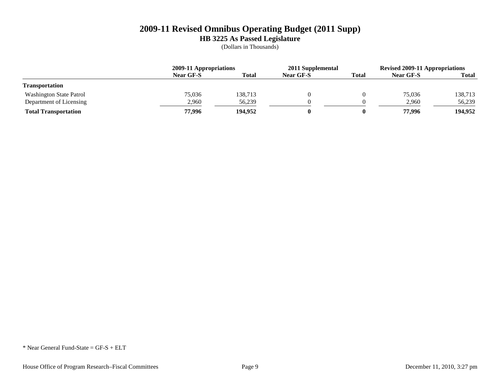**HB 3225 As Passed Legislature**

(Dollars in Thousands)

|                                | 2009-11 Appropriations |              | 2011 Supplemental |              | <b>Revised 2009-11 Appropriations</b> |              |
|--------------------------------|------------------------|--------------|-------------------|--------------|---------------------------------------|--------------|
|                                | Near GF-S              | <b>Total</b> | <b>Near GF-S</b>  | <b>Total</b> | <b>Near GF-S</b>                      | <b>Total</b> |
| <b>Transportation</b>          |                        |              |                   |              |                                       |              |
| <b>Washington State Patrol</b> | 75.036                 | 138,713      |                   |              | 75.036                                | 138,713      |
| Department of Licensing        | 2.960                  | 56.239       |                   |              | 2,960                                 | 56,239       |
| <b>Total Transportation</b>    | 77.996                 | 194,952      |                   |              | 77,996                                | 194,952      |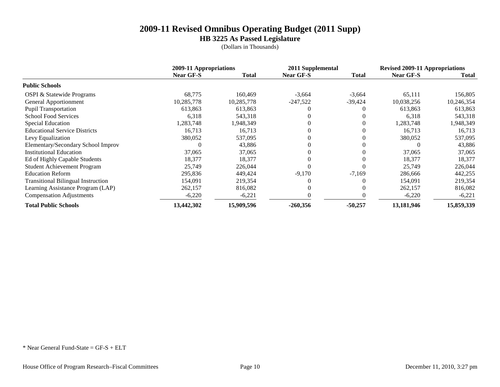**HB 3225 As Passed Legislature**

(Dollars in Thousands)

|                                           | 2009-11 Appropriations |              |                  | 2011 Supplemental |                  | <b>Revised 2009-11 Appropriations</b> |  |
|-------------------------------------------|------------------------|--------------|------------------|-------------------|------------------|---------------------------------------|--|
|                                           | <b>Near GF-S</b>       | <b>Total</b> | <b>Near GF-S</b> | <b>Total</b>      | <b>Near GF-S</b> | Total                                 |  |
| <b>Public Schools</b>                     |                        |              |                  |                   |                  |                                       |  |
| <b>OSPI &amp; Statewide Programs</b>      | 68,775                 | 160,469      | $-3,664$         | $-3,664$          | 65,111           | 156,805                               |  |
| General Apportionment                     | 10,285,778             | 10,285,778   | $-247,522$       | $-39,424$         | 10,038,256       | 10,246,354                            |  |
| <b>Pupil Transportation</b>               | 613,863                | 613,863      |                  |                   | 613,863          | 613,863                               |  |
| <b>School Food Services</b>               | 6,318                  | 543,318      |                  |                   | 6,318            | 543,318                               |  |
| Special Education                         | .283,748               | .948,349     |                  | 0                 | 1,283,748        | 1,948,349                             |  |
| <b>Educational Service Districts</b>      | 16,713                 | 16,713       |                  | 0                 | 16,713           | 16,713                                |  |
| Levy Equalization                         | 380,052                | 537,095      |                  | 0                 | 380,052          | 537,095                               |  |
| Elementary/Secondary School Improv        |                        | 43,886       |                  |                   |                  | 43,886                                |  |
| <b>Institutional Education</b>            | 37,065                 | 37,065       |                  |                   | 37,065           | 37,065                                |  |
| Ed of Highly Capable Students             | 18,377                 | 18,377       |                  |                   | 18,377           | 18,377                                |  |
| Student Achievement Program               | 25,749                 | 226,044      |                  |                   | 25,749           | 226,044                               |  |
| <b>Education Reform</b>                   | 295,836                | 449,424      | $-9,170$         | $-7,169$          | 286,666          | 442,255                               |  |
| <b>Transitional Bilingual Instruction</b> | 154,091                | 219,354      |                  |                   | 154,091          | 219,354                               |  |
| Learning Assistance Program (LAP)         | 262,157                | 816,082      |                  | $\Omega$          | 262,157          | 816,082                               |  |
| <b>Compensation Adjustments</b>           | $-6,220$               | $-6,221$     |                  |                   | $-6,220$         | $-6,221$                              |  |
| <b>Total Public Schools</b>               | 13,442,302             | 15,909,596   | $-260,356$       | $-50,257$         | 13,181,946       | 15,859,339                            |  |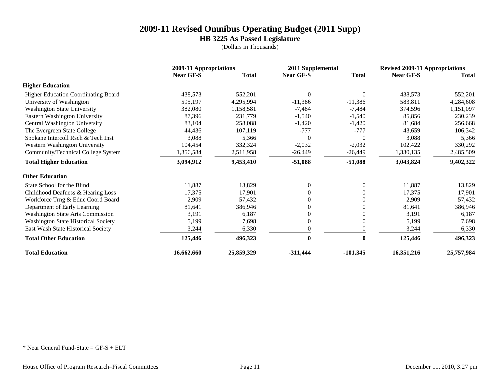**HB 3225 As Passed Legislature**

(Dollars in Thousands)

|                                            | 2009-11 Appropriations |              | 2011 Supplemental |                  | <b>Revised 2009-11 Appropriations</b> |              |
|--------------------------------------------|------------------------|--------------|-------------------|------------------|---------------------------------------|--------------|
|                                            | <b>Near GF-S</b>       | <b>Total</b> | <b>Near GF-S</b>  | <b>Total</b>     | <b>Near GF-S</b>                      | <b>Total</b> |
| <b>Higher Education</b>                    |                        |              |                   |                  |                                       |              |
| Higher Education Coordinating Board        | 438,573                | 552,201      | $\Omega$          | $\overline{0}$   | 438,573                               | 552,201      |
| University of Washington                   | 595,197                | 4,295,994    | $-11,386$         | $-11,386$        | 583,811                               | 4,284,608    |
| <b>Washington State University</b>         | 382,080                | 1,158,581    | $-7,484$          | $-7,484$         | 374,596                               | 1,151,097    |
| Eastern Washington University              | 87,396                 | 231,779      | $-1,540$          | $-1,540$         | 85,856                                | 230,239      |
| Central Washington University              | 83,104                 | 258,088      | $-1,420$          | $-1,420$         | 81,684                                | 256,668      |
| The Evergreen State College                | 44,436                 | 107,119      | $-777$            | $-777$           | 43,659                                | 106,342      |
| Spokane Intercoll Rsch & Tech Inst         | 3,088                  | 5,366        | $\Omega$          | $\Omega$         | 3,088                                 | 5,366        |
| Western Washington University              | 104,454                | 332,324      | $-2,032$          | $-2,032$         | 102,422                               | 330,292      |
| Community/Technical College System         | 1,356,584              | 2,511,958    | $-26,449$         | $-26,449$        | 1,330,135                             | 2,485,509    |
| <b>Total Higher Education</b>              | 3,094,912              | 9,453,410    | $-51,088$         | $-51,088$        | 3,043,824                             | 9,402,322    |
| <b>Other Education</b>                     |                        |              |                   |                  |                                       |              |
| State School for the Blind                 | 11,887                 | 13,829       | $\theta$          | $\overline{0}$   | 11,887                                | 13,829       |
| Childhood Deafness & Hearing Loss          | 17,375                 | 17,901       | 0                 | $\mathbf{0}$     | 17,375                                | 17,901       |
| Workforce Trng & Educ Coord Board          | 2,909                  | 57,432       |                   | $\mathbf{0}$     | 2,909                                 | 57,432       |
| Department of Early Learning               | 81,641                 | 386,946      | 0                 | $\boldsymbol{0}$ | 81,641                                | 386,946      |
| <b>Washington State Arts Commission</b>    | 3,191                  | 6,187        |                   | $\Omega$         | 3,191                                 | 6,187        |
| <b>Washington State Historical Society</b> | 5,199                  | 7,698        | 0                 | $\boldsymbol{0}$ | 5,199                                 | 7,698        |
| East Wash State Historical Society         | 3,244                  | 6,330        |                   | $\boldsymbol{0}$ | 3,244                                 | 6,330        |
| <b>Total Other Education</b>               | 125,446                | 496,323      | $\bf{0}$          | $\bf{0}$         | 125,446                               | 496,323      |
| <b>Total Education</b>                     | 16,662,660             | 25,859,329   | $-311,444$        | $-101,345$       | 16,351,216                            | 25,757,984   |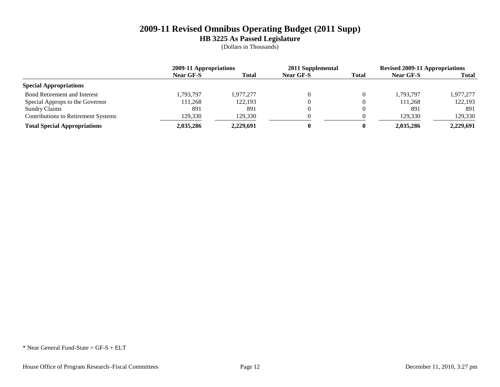**HB 3225 As Passed Legislature**

(Dollars in Thousands)

|                                            | 2009-11 Appropriations |              | 2011 Supplemental |              | <b>Revised 2009-11 Appropriations</b> |              |
|--------------------------------------------|------------------------|--------------|-------------------|--------------|---------------------------------------|--------------|
|                                            | <b>Near GF-S</b>       | <b>Total</b> | <b>Near GF-S</b>  | <b>Total</b> | Near GF-S                             | <b>Total</b> |
| <b>Special Appropriations</b>              |                        |              |                   |              |                                       |              |
| <b>Bond Retirement and Interest</b>        | .793.797               | .977.277     |                   |              | 1.793.797                             | 1,977,277    |
| Special Approps to the Governor            | 111,268                | 122.193      |                   |              | 111,268                               | 122,193      |
| <b>Sundry Claims</b>                       | 891                    | 891          |                   |              | 891                                   | 891          |
| <b>Contributions to Retirement Systems</b> | 129,330                | 129,330      |                   |              | 129.330                               | 129,330      |
| <b>Total Special Appropriations</b>        | 2.035.286              | 2.229.691    |                   |              | 2.035.286                             | 2.229.691    |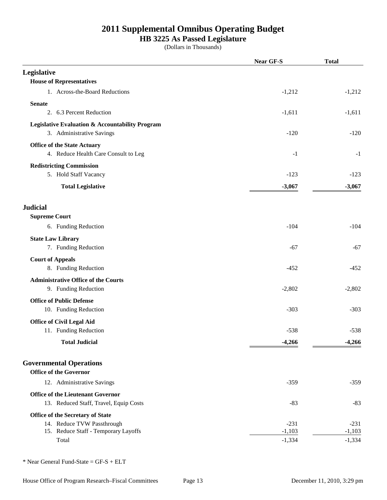### **HB 3225 As Passed Legislature**

(Dollars in Thousands)

|                                                                 | <b>Near GF-S</b> | <b>Total</b> |
|-----------------------------------------------------------------|------------------|--------------|
| Legislative                                                     |                  |              |
| <b>House of Representatives</b>                                 |                  |              |
| 1. Across-the-Board Reductions                                  | $-1,212$         | $-1,212$     |
| <b>Senate</b>                                                   |                  |              |
| 2. 6.3 Percent Reduction                                        | $-1,611$         | $-1,611$     |
| Legislative Evaluation & Accountability Program                 |                  |              |
| 3. Administrative Savings                                       | $-120$           | $-120$       |
| <b>Office of the State Actuary</b>                              |                  |              |
| 4. Reduce Health Care Consult to Leg                            | $-1$             | $-1$         |
| <b>Redistricting Commission</b>                                 |                  |              |
| 5. Hold Staff Vacancy                                           | $-123$           | $-123$       |
| <b>Total Legislative</b>                                        | $-3,067$         | $-3,067$     |
| <b>Judicial</b>                                                 |                  |              |
| <b>Supreme Court</b>                                            |                  |              |
| 6. Funding Reduction                                            | $-104$           | $-104$       |
| <b>State Law Library</b>                                        |                  |              |
| 7. Funding Reduction                                            | $-67$            | $-67$        |
| <b>Court of Appeals</b>                                         |                  |              |
| 8. Funding Reduction                                            | $-452$           | $-452$       |
| <b>Administrative Office of the Courts</b>                      |                  |              |
| 9. Funding Reduction                                            | $-2,802$         | $-2,802$     |
| <b>Office of Public Defense</b>                                 |                  |              |
| 10. Funding Reduction                                           | $-303$           | $-303$       |
| <b>Office of Civil Legal Aid</b>                                |                  |              |
| 11. Funding Reduction                                           | $-538$           | $-538$       |
| <b>Total Judicial</b>                                           | $-4,266$         | $-4,266$     |
| <b>Governmental Operations</b><br><b>Office of the Governor</b> |                  |              |
| 12. Administrative Savings                                      | $-359$           | $-359$       |
| <b>Office of the Lieutenant Governor</b>                        |                  |              |
| 13. Reduced Staff, Travel, Equip Costs                          | $-83$            | $-83$        |
| Office of the Secretary of State                                |                  |              |
| 14. Reduce TVW Passthrough                                      | $-231$           | $-231$       |
| 15. Reduce Staff - Temporary Layoffs<br>Total                   | $-1,103$         | $-1,103$     |
|                                                                 | $-1,334$         | $-1,334$     |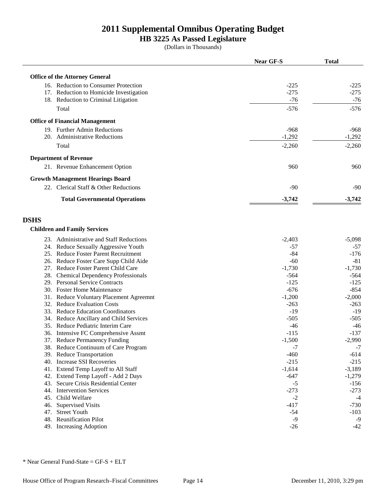### **HB 3225 As Passed Legislature**

(Dollars in Thousands)

|                                         |                                                                               | <b>Near GF-S</b> | <b>Total</b>     |
|-----------------------------------------|-------------------------------------------------------------------------------|------------------|------------------|
| <b>Office of the Attorney General</b>   |                                                                               |                  |                  |
|                                         | 16. Reduction to Consumer Protection                                          |                  |                  |
|                                         | 17. Reduction to Homicide Investigation                                       | $-225$<br>$-275$ | $-225$<br>$-275$ |
|                                         | 18. Reduction to Criminal Litigation                                          | $-76$            | $-76$            |
|                                         |                                                                               |                  | $-576$           |
| Total                                   |                                                                               | $-576$           |                  |
| <b>Office of Financial Management</b>   |                                                                               |                  |                  |
| 19. Further Admin Reductions            |                                                                               | $-968$           | $-968$           |
| 20. Administrative Reductions           |                                                                               | $-1,292$         | $-1,292$         |
| Total                                   |                                                                               | $-2,260$         | $-2,260$         |
| <b>Department of Revenue</b>            |                                                                               |                  |                  |
|                                         | 21. Revenue Enhancement Option                                                | 960              | 960              |
| <b>Growth Management Hearings Board</b> |                                                                               |                  |                  |
|                                         | 22. Clerical Staff & Other Reductions                                         | $-90$            | -90              |
|                                         | <b>Total Governmental Operations</b>                                          | $-3,742$         | $-3,742$         |
|                                         |                                                                               |                  |                  |
| <b>DSHS</b>                             |                                                                               |                  |                  |
| <b>Children and Family Services</b>     |                                                                               |                  |                  |
|                                         |                                                                               |                  |                  |
|                                         | 23. Administrative and Staff Reductions                                       | $-2,403$         | $-5,098$         |
|                                         | 24. Reduce Sexually Aggressive Youth                                          | $-57$            | $-57$            |
|                                         | 25. Reduce Foster Parent Recruitment                                          | $-84$<br>$-60$   | $-176$<br>$-81$  |
|                                         | 26. Reduce Foster Care Supp Child Aide<br>27. Reduce Foster Parent Child Care | $-1,730$         | $-1,730$         |
|                                         |                                                                               | $-564$           | $-564$           |
| 29. Personal Service Contracts          | 28. Chemical Dependency Professionals                                         | $-125$           | $-125$           |
| 30. Foster Home Maintenance             |                                                                               | $-676$           | $-854$           |
|                                         | 31. Reduce Voluntary Placement Agreemnt                                       | $-1,200$         | $-2,000$         |
| 32. Reduce Evaluation Costs             |                                                                               | $-263$           | $-263$           |
|                                         | 33. Reduce Education Coordinators                                             | $-19$            | $-19$            |
|                                         | 34. Reduce Ancillary and Child Services                                       | $-505$           | $-505$           |
|                                         | 35. Reduce Pediatric Interim Care                                             | $-46$            | $-46$            |
|                                         | 36. Intensive FC Comprehensive Assmt                                          | $-115$           | $-137$           |
|                                         | 37. Reduce Permanency Funding                                                 | $-1,500$         | $-2,990$         |
|                                         | 38. Reduce Continuum of Care Program                                          | -7               | $-7$             |
| 39. Reduce Transportation               |                                                                               | $-460$           | $-614$           |
| 40. Increase SSI Recoveries             |                                                                               | $-215$           | $-215$           |
|                                         | 41. Extend Temp Layoff to All Staff                                           | $-1,614$         | $-3,189$         |
|                                         | 42. Extend Temp Layoff - Add 2 Days                                           | $-647$           | $-1,279$         |
|                                         | 43. Secure Crisis Residential Center                                          | $-5$             | $-156$           |
| 44. Intervention Services               |                                                                               | $-273$           | $-273$           |
| 45. Child Welfare                       |                                                                               | $-2$             | $-4$             |
| 46. Supervised Visits                   |                                                                               | $-417$           | $-730$           |
| 47. Street Youth                        |                                                                               | $-54$            | $-103$           |
| 48. Reunification Pilot                 |                                                                               | $-9$             | -9               |
| 49. Increasing Adoption                 |                                                                               | $-26$            | $-42$            |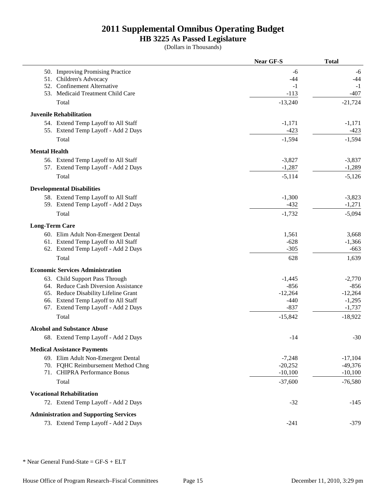### **HB 3225 As Passed Legislature**

(Dollars in Thousands)

|                       |                                               | <b>Near GF-S</b> | <b>Total</b> |
|-----------------------|-----------------------------------------------|------------------|--------------|
|                       | 50. Improving Promising Practice              | -6               | -6           |
| 51.                   | Children's Advocacy                           | $-44$            | -44          |
|                       | 52. Confinement Alternative                   | $-1$             | $-1$         |
|                       | 53. Medicaid Treatment Child Care             | $-113$           | $-407$       |
|                       | Total                                         | $-13,240$        | $-21,724$    |
|                       | <b>Juvenile Rehabilitation</b>                |                  |              |
|                       | 54. Extend Temp Layoff to All Staff           | $-1,171$         | $-1,171$     |
|                       | 55. Extend Temp Layoff - Add 2 Days           | $-423$           | $-423$       |
|                       | Total                                         | $-1,594$         | $-1,594$     |
| <b>Mental Health</b>  |                                               |                  |              |
|                       | 56. Extend Temp Layoff to All Staff           | $-3,827$         | $-3,837$     |
|                       | 57. Extend Temp Layoff - Add 2 Days           | $-1,287$         | $-1,289$     |
|                       | Total                                         | $-5,114$         | $-5,126$     |
|                       | <b>Developmental Disabilities</b>             |                  |              |
|                       | 58. Extend Temp Layoff to All Staff           | $-1,300$         | $-3,823$     |
|                       | 59. Extend Temp Layoff - Add 2 Days           | $-432$           | $-1,271$     |
|                       | Total                                         | $-1,732$         | $-5,094$     |
| <b>Long-Term Care</b> |                                               |                  |              |
|                       | 60. Elim Adult Non-Emergent Dental            | 1,561            | 3,668        |
|                       | 61. Extend Temp Layoff to All Staff           | $-628$           | $-1,366$     |
|                       | 62. Extend Temp Layoff - Add 2 Days           | $-305$           | $-663$       |
|                       | Total                                         | 628              | 1,639        |
|                       | <b>Economic Services Administration</b>       |                  |              |
|                       | 63. Child Support Pass Through                | $-1,445$         | $-2,770$     |
|                       | 64. Reduce Cash Diversion Assistance          | $-856$           | $-856$       |
|                       | 65. Reduce Disability Lifeline Grant          | $-12,264$        | $-12,264$    |
|                       | 66. Extend Temp Layoff to All Staff           | $-440$           | $-1,295$     |
|                       | 67. Extend Temp Layoff - Add 2 Days           | $-837$           | $-1,737$     |
|                       | Total                                         | $-15,842$        | $-18,922$    |
|                       | <b>Alcohol and Substance Abuse</b>            |                  |              |
|                       | 68. Extend Temp Layoff - Add 2 Days           | $-14$            | $-30$        |
|                       | <b>Medical Assistance Payments</b>            |                  |              |
|                       | 69. Elim Adult Non-Emergent Dental            | $-7,248$         | $-17,104$    |
|                       | 70. FQHC Reimbursement Method Chng            | $-20,252$        | $-49,376$    |
|                       | 71. CHIPRA Performance Bonus                  | $-10,100$        | $-10,100$    |
|                       | Total                                         | $-37,600$        | $-76,580$    |
|                       | <b>Vocational Rehabilitation</b>              |                  |              |
|                       | 72. Extend Temp Layoff - Add 2 Days           | $-32$            | $-145$       |
|                       | <b>Administration and Supporting Services</b> |                  |              |
|                       | 73. Extend Temp Layoff - Add 2 Days           | $-241$           | $-379$       |
|                       |                                               |                  |              |

\* Near General Fund-State = GF-S + ELT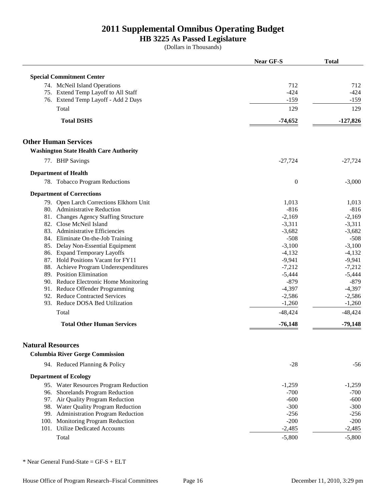### **HB 3225 As Passed Legislature**

(Dollars in Thousands)

|                                                                      | Near GF-S        | <b>Total</b> |
|----------------------------------------------------------------------|------------------|--------------|
| <b>Special Commitment Center</b>                                     |                  |              |
| 74. McNeil Island Operations                                         | 712              | 712          |
| 75. Extend Temp Layoff to All Staff                                  | $-424$           | $-424$       |
| 76. Extend Temp Layoff - Add 2 Days                                  | $-159$           | $-159$       |
| Total                                                                | 129              | 129          |
| <b>Total DSHS</b>                                                    | $-74,652$        | $-127,826$   |
|                                                                      |                  |              |
| <b>Other Human Services</b>                                          |                  |              |
| <b>Washington State Health Care Authority</b>                        |                  |              |
| 77. BHP Savings                                                      | $-27,724$        | $-27,724$    |
| <b>Department of Health</b>                                          |                  |              |
| 78. Tobacco Program Reductions                                       | $\boldsymbol{0}$ | $-3,000$     |
| <b>Department of Corrections</b>                                     |                  |              |
| 79. Open Larch Corrections Elkhorn Unit                              | 1,013            | 1,013        |
| 80. Administrative Reduction                                         | $-816$           | $-816$       |
| 81. Changes Agency Staffing Structure                                | $-2,169$         | $-2,169$     |
| 82. Close McNeil Island                                              | $-3,311$         | $-3,311$     |
| 83. Administrative Efficiencies                                      | $-3,682$         | $-3,682$     |
| 84. Eliminate On-the-Job Training                                    | $-508$           | $-508$       |
| 85. Delay Non-Essential Equipment                                    | $-3,100$         | $-3,100$     |
| 86. Expand Temporary Layoffs                                         | $-4,132$         | $-4,132$     |
| 87. Hold Positions Vacant for FY11                                   | $-9,941$         | $-9,941$     |
| 88. Achieve Program Underexpenditures                                | $-7,212$         | $-7,212$     |
| 89. Position Elimination                                             | $-5,444$         | $-5,444$     |
| 90. Reduce Electronic Home Monitoring                                | $-879$           | $-879$       |
| 91. Reduce Offender Programming                                      | $-4,397$         | $-4,397$     |
| 92. Reduce Contracted Services                                       | $-2,586$         | $-2,586$     |
| 93. Reduce DOSA Bed Utilization                                      | $-1,260$         | $-1,260$     |
| Total                                                                | $-48,424$        | $-48,424$    |
| <b>Total Other Human Services</b>                                    | $-76,148$        | $-79,148$    |
|                                                                      |                  |              |
| <b>Natural Resources</b>                                             |                  |              |
| <b>Columbia River Gorge Commission</b>                               |                  |              |
| 94. Reduced Planning & Policy                                        | $-28$            | $-56$        |
| <b>Department of Ecology</b>                                         |                  |              |
| 95. Water Resources Program Reduction                                | $-1,259$         | $-1,259$     |
| 96. Shorelands Program Reduction                                     | $-700$           | $-700$       |
| 97. Air Quality Program Reduction                                    | $-600$           | $-600$       |
| 98. Water Quality Program Reduction                                  | $-300$           | $-300$       |
| 99. Administration Program Reduction                                 | $-256$           | $-256$       |
| 100. Monitoring Program Reduction<br>101. Utilize Dedicated Accounts | $-200$           | $-200$       |
|                                                                      | $-2,485$         | $-2,485$     |
| Total                                                                | $-5,800$         | $-5,800$     |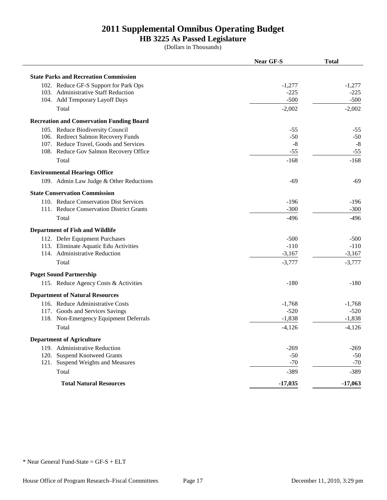# **HB 3225 As Passed Legislature**

(Dollars in Thousands)

|                                                  | <b>Near GF-S</b> | <b>Total</b> |
|--------------------------------------------------|------------------|--------------|
| <b>State Parks and Recreation Commission</b>     |                  |              |
| 102. Reduce GF-S Support for Park Ops            | $-1,277$         | $-1,277$     |
| 103. Administrative Staff Reduction              | $-225$           | $-225$       |
| 104. Add Temporary Layoff Days                   | $-500$           | $-500$       |
| Total                                            | $-2,002$         | $-2,002$     |
| <b>Recreation and Conservation Funding Board</b> |                  |              |
| 105. Reduce Biodiversity Council                 | $-55$            | $-55$        |
| 106. Redirect Salmon Recovery Funds              | $-50$            | $-50$        |
| 107. Reduce Travel, Goods and Services           | $-8$             | $-8$         |
| 108. Reduce Gov Salmon Recovery Office           | $-55$            | $-55$        |
| Total                                            | $-168$           | $-168$       |
| <b>Environmental Hearings Office</b>             |                  |              |
| 109. Admin Law Judge & Other Reductions          | $-69$            | $-69$        |
| <b>State Conservation Commission</b>             |                  |              |
| 110. Reduce Conservation Dist Services           | $-196$           | $-196$       |
| 111. Reduce Conservation District Grants         | $-300$           | $-300$       |
| Total                                            | $-496$           | $-496$       |
| <b>Department of Fish and Wildlife</b>           |                  |              |
| 112. Defer Equipment Purchases                   | $-500$           | $-500$       |
| 113. Eliminate Aquatic Edu Activities            | $-110$           | $-110$       |
| 114. Administrative Reduction                    | $-3,167$         | $-3,167$     |
| Total                                            | $-3,777$         | $-3,777$     |
| <b>Puget Sound Partnership</b>                   |                  |              |
| 115. Reduce Agency Costs & Activities            | $-180$           | -180         |
| <b>Department of Natural Resources</b>           |                  |              |
| 116. Reduce Administrative Costs                 | $-1,768$         | $-1,768$     |
| 117. Goods and Services Savings                  | $-520$           | $-520$       |
| 118. Non-Emergency Equipment Deferrals           | $-1,838$         | $-1,838$     |
| Total                                            | $-4,126$         | $-4,126$     |
| <b>Department of Agriculture</b>                 |                  |              |
| 119. Administrative Reduction                    | $-269$           | $-269$       |
| 120. Suspend Knotweed Grants                     | $-50$            | $-50$        |
| 121. Suspend Weights and Measures                | $-70$            | $-70$        |
| Total                                            | $-389$           | $-389$       |
| <b>Total Natural Resources</b>                   | $-17,035$        | $-17,063$    |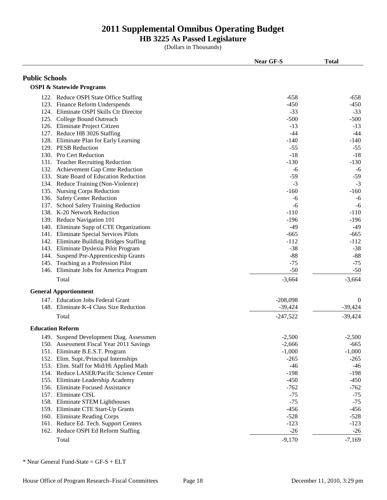### **HB 3225 As Passed Legislature**

(Dollars in Thousands)

|                       |                                                  | <b>Near GF-S</b>  | <b>Total</b>      |
|-----------------------|--------------------------------------------------|-------------------|-------------------|
| <b>Public Schools</b> |                                                  |                   |                   |
|                       | <b>OSPI &amp; Statewide Programs</b>             |                   |                   |
|                       | 122. Reduce OSPI State Office Staffing           | $-658$            | $-658$            |
|                       | 123. Finance Reform Underspends                  | $-450$            | $-450$            |
|                       | 124. Eliminate OSPI Skills Ctr Director          | $-33$             | $-33$             |
|                       | 125. College Bound Outreach                      | $-500$            | $-500$            |
|                       | 126. Eliminate Project Citizen                   | $-13$             | $-13$             |
|                       | 127. Reduce HB 3026 Staffing                     | $-44$             | $-44$             |
|                       | 128. Eliminate Plan for Early Learning           | $-140$            | $-140$            |
|                       | 129. PESB Reduction                              | $-55$             | $-55$             |
|                       | 130. Pro Cert Reduction                          | $-18$             | $-18$             |
|                       | 131. Teacher Recruiting Reduction                | $-130$            | $-130$            |
|                       | 132. Achievement Gap Cmte Reduction              | -6                | $-6$              |
|                       | 133. State Board of Education Reduction          | $-59$             | $-59$             |
|                       | 134. Reduce Training (Non-Violence)              | $-3$              | $-3$              |
|                       | 135. Nursing Corps Reduction                     | $-160$            | $-160$            |
|                       | 136. Safety Center Reduction                     | -6                | $-6$              |
|                       | 137. School Safety Training Reduction            | -6                | $-6$              |
|                       | 138. K-20 Network Reduction                      | $-110$            | $-110$            |
|                       |                                                  | $-196$            | $-196$            |
|                       | 139. Reduce Navigation 101                       | $-49$             | $-49$             |
|                       | 140. Eliminate Supp of CTE Organizations         |                   |                   |
|                       | 141. Eliminate Special Services Pilots           | $-665$            | $-665$            |
|                       | 142. Eliminate Building Bridges Staffing         | $-112$            | $-112$            |
|                       | 143. Eliminate Dyslexia Pilot Program            | $-38$             | $-38$             |
|                       | 144. Suspend Pre-Apprenticeship Grants           | $-88$             | $-88$             |
|                       | 145. Teaching as a Profession Pilot              | $-75$             | $-75$             |
|                       | 146. Eliminate Jobs for America Program<br>Total | $-50$<br>$-3,664$ | $-50$<br>$-3,664$ |
|                       |                                                  |                   |                   |
|                       | <b>General Apportionment</b>                     |                   |                   |
|                       | 147. Education Jobs Federal Grant                | $-208,098$        | $\theta$          |
|                       | 148. Eliminate K-4 Class Size Reduction          | $-39,424$         | $-39,424$         |
|                       | Total                                            | $-247,522$        | $-39,424$         |
|                       | <b>Education Reform</b>                          |                   |                   |
|                       | 149. Suspend Development Diag. Assessmen         | $-2,500$          | $-2,500$          |
|                       | 150. Assessment Fiscal Year 2011 Savings         | $-2,666$          | $-665$            |
|                       | 151. Eliminate B.E.S.T. Program                  | $-1,000$          | $-1,000$          |
|                       | 152. Elim. Supt./Principal Internships           | $-265$            | $-265$            |
|                       | 153. Elim. Staff for Mid/Hi Applied Math         | $-46$             | $-46$             |
|                       | 154. Reduce LASER/Pacific Science Center         | $-198$            | $-198$            |
|                       | 155. Eliminate Leadership Academy                | $-450$            | $-450$            |
|                       | 156. Eliminate Focused Assistance                | $-762$            | $-762$            |
|                       | 157. Eliminate CISL                              | $-75$             | $-75$             |
|                       | 158. Eliminate STEM Lighthouses                  | $-75$             | $-75$             |
|                       | 159. Eliminate CTE Start-Up Grants               | $-456$            | $-456$            |
|                       | 160. Eliminate Reading Corps                     | $-528$            | $-528$            |
|                       | 161. Reduce Ed. Tech. Support Centers            | $-123$            | $-123$            |
|                       | 162. Reduce OSPI Ed Reform Staffing              | $-26$             | $-26$             |
|                       | Total                                            |                   |                   |
|                       |                                                  | $-9,170$          | $-7,169$          |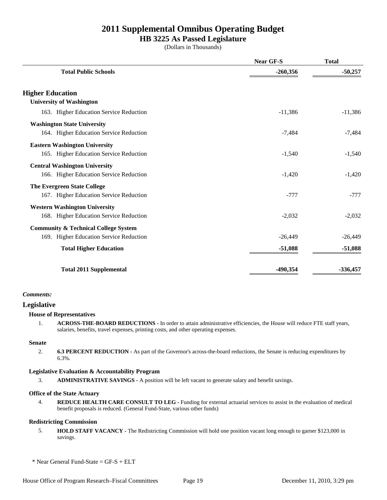### **HB 3225 As Passed Legislature**

(Dollars in Thousands)

|                                                 | <b>Near GF-S</b> | <b>Total</b> |
|-------------------------------------------------|------------------|--------------|
| <b>Total Public Schools</b>                     | $-260,356$       | $-50,257$    |
| <b>Higher Education</b>                         |                  |              |
| <b>University of Washington</b>                 |                  |              |
| 163. Higher Education Service Reduction         | $-11,386$        | $-11,386$    |
| <b>Washington State University</b>              |                  |              |
| 164. Higher Education Service Reduction         | $-7,484$         | $-7,484$     |
| <b>Eastern Washington University</b>            |                  |              |
| 165. Higher Education Service Reduction         | $-1,540$         | $-1,540$     |
| <b>Central Washington University</b>            |                  |              |
| 166. Higher Education Service Reduction         | $-1,420$         | $-1,420$     |
| <b>The Evergreen State College</b>              |                  |              |
| 167. Higher Education Service Reduction         | $-777$           | $-777$       |
| <b>Western Washington University</b>            |                  |              |
| 168. Higher Education Service Reduction         | $-2,032$         | $-2,032$     |
| <b>Community &amp; Technical College System</b> |                  |              |
| 169. Higher Education Service Reduction         | $-26,449$        | $-26,449$    |
| <b>Total Higher Education</b>                   | $-51,088$        | $-51,088$    |
| <b>Total 2011 Supplemental</b>                  | -490,354         | $-336,457$   |

#### *Comments:*

## **Legislative**

#### **House of Representatives**

1. **ACROSS-THE-BOARD REDUCTIONS -** In order to attain administrative efficiencies, the House will reduce FTE staff years, salaries, benefits, travel expenses, printing costs, and other operating expenses.

#### **Senate**

2. **6.3 PERCENT REDUCTION -** As part of the Governor's across-the-board reductions, the Senate is reducing expenditures by 6.3%.

#### **Legislative Evaluation & Accountability Program**

3. **ADMINISTRATIVE SAVINGS -** A position will be left vacant to generate salary and benefit savings.

#### **Office of the State Actuary**

4. **REDUCE HEALTH CARE CONSULT TO LEG -** Funding for external actuarial services to assist in the evaluation of medical benefit proposals is reduced. (General Fund-State, various other funds)

#### **Redistricting Commission**

5. **HOLD STAFF VACANCY -** The Redistricting Commission will hold one position vacant long enough to garner \$123,000 in savings.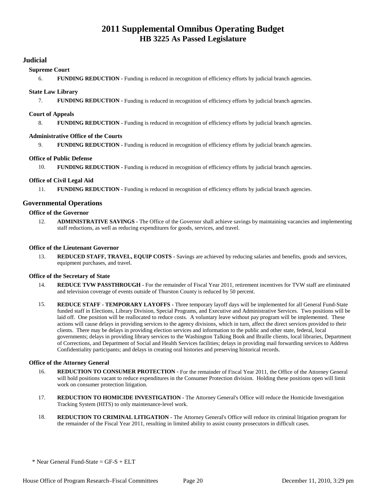#### **Judicial**

#### **Supreme Court**

6. **FUNDING REDUCTION -** Funding is reduced in recognition of efficiency efforts by judicial branch agencies.

#### **State Law Library**

7. **FUNDING REDUCTION -** Funding is reduced in recognition of efficiency efforts by judicial branch agencies.

#### **Court of Appeals**

8. **FUNDING REDUCTION -** Funding is reduced in recognition of efficiency efforts by judicial branch agencies.

#### **Administrative Office of the Courts**

9. **FUNDING REDUCTION -** Funding is reduced in recognition of efficiency efforts by judicial branch agencies.

#### **Office of Public Defense**

10. **FUNDING REDUCTION -** Funding is reduced in recognition of efficiency efforts by judicial branch agencies.

#### **Office of Civil Legal Aid**

11. **FUNDING REDUCTION -** Funding is reduced in recognition of efficiency efforts by judicial branch agencies.

#### **Governmental Operations**

#### **Office of the Governor**

12. **ADMINISTRATIVE SAVINGS -** The Office of the Governor shall achieve savings by maintaining vacancies and implementing staff reductions, as well as reducing expenditures for goods, services, and travel.

#### **Office of the Lieutenant Governor**

13. **REDUCED STAFF, TRAVEL, EQUIP COSTS -** Savings are achieved by reducing salaries and benefits, goods and services, equipment purchases, and travel.

#### **Office of the Secretary of State**

- 14. **REDUCE TVW PASSTHROUGH** For the remainder of Fiscal Year 2011, retirement incentives for TVW staff are eliminated and television coverage of events outside of Thurston County is reduced by 50 percent.
- 15. **REDUCE STAFF TEMPORARY LAYOFFS** Three temporary layoff days will be implemented for all General Fund-State funded staff in Elections, Library Division, Special Programs, and Executive and Administrative Services. Two positions will be laid off. One position will be reallocated to reduce costs. A voluntary leave without pay program will be implemented. These actions will cause delays in providing services to the agency divisions, which in turn, affect the direct services provided to their clients. There may be delays in providing election services and information to the public and other state, federal, local governments; delays in providing library services to the Washington Talking Book and Braille clients, local libraries, Department of Corrections, and Department of Social and Health Services facilities; delays in providing mail forwarding services to Address Confidentiality participants; and delays in creating oral histories and preserving historical records.

#### **Office of the Attorney General**

- 16. **REDUCTION TO CONSUMER PROTECTION** For the remainder of Fiscal Year 2011, the Office of the Attorney General will hold positions vacant to reduce expenditures in the Consumer Protection division. Holding these positions open will limit work on consumer protection litigation.
- 17. **REDUCTION TO HOMICIDE INVESTIGATION -** The Attorney General's Office will reduce the Homicide Investigation Tracking System (HITS) to only maintenance-level work.
- 18. **REDUCTION TO CRIMINAL LITIGATION** The Attorney General's Office will reduce its criminal litigation program for the remainder of the Fiscal Year 2011, resulting in limited ability to assist county prosecutors in difficult cases.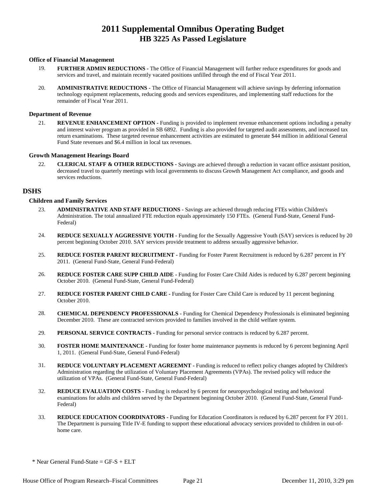#### **Office of Financial Management**

- 19. **FURTHER ADMIN REDUCTIONS** The Office of Financial Management will further reduce expenditures for goods and services and travel, and maintain recently vacated positions unfilled through the end of Fiscal Year 2011.
- 20. **ADMINISTRATIVE REDUCTIONS** The Office of Financial Management will achieve savings by deferring information technology equipment replacements, reducing goods and services expenditures, and implementing staff reductions for the remainder of Fiscal Year 2011.

#### **Department of Revenue**

21. **REVENUE ENHANCEMENT OPTION -** Funding is provided to implement revenue enhancement options including a penalty and interest waiver program as provided in SB 6892. Funding is also provided for targeted audit assessments, and increased tax return examinations. These targeted revenue enhancement activities are estimated to generate \$44 million in additional General Fund State revenues and \$6.4 million in local tax revenues.

#### **Growth Management Hearings Board**

22. **CLERICAL STAFF & OTHER REDUCTIONS -** Savings are achieved through a reduction in vacant office assistant position, decreased travel to quarterly meetings with local governments to discuss Growth Management Act compliance, and goods and services reductions.

#### **DSHS**

#### **Children and Family Services**

- 23. **ADMINISTRATIVE AND STAFF REDUCTIONS** Savings are achieved through reducing FTEs within Children's Administration. The total annualized FTE reduction equals approximately 150 FTEs. (General Fund-State, General Fund-Federal)
- 24. **REDUCE SEXUALLY AGGRESSIVE YOUTH -** Funding for the Sexually Aggressive Youth (SAY) services is reduced by 20 percent beginning October 2010. SAY services provide treatment to address sexually aggressive behavior.
- 25. **REDUCE FOSTER PARENT RECRUITMENT** Funding for Foster Parent Recruitment is reduced by 6.287 percent in FY 2011. (General Fund-State, General Fund-Federal)
- 26. **REDUCE FOSTER CARE SUPP CHILD AIDE** Funding for Foster Care Child Aides is reduced by 6.287 percent beginning October 2010. (General Fund-State, General Fund-Federal)
- 27. **REDUCE FOSTER PARENT CHILD CARE** Funding for Foster Care Child Care is reduced by 11 percent beginning October 2010.
- 28. **CHEMICAL DEPENDENCY PROFESSIONALS** Funding for Chemical Dependency Professionals is eliminated beginning December 2010. These are contracted services provided to families involved in the child welfare system.
- 29. **PERSONAL SERVICE CONTRACTS** Funding for personal service contracts is reduced by 6.287 percent.
- 30. **FOSTER HOME MAINTENANCE** Funding for foster home maintenance payments is reduced by 6 percent beginning April 1, 2011. (General Fund-State, General Fund-Federal)
- 31. **REDUCE VOLUNTARY PLACEMENT AGREEMNT** Funding is reduced to reflect policy changes adopted by Children's Administration regarding the utilization of Voluntary Placement Agreements (VPAs). The revised policy will reduce the utilization of VPAs. (General Fund-State, General Fund-Federal)
- 32. **REDUCE EVALUATION COSTS** Funding is reduced by 6 percent for neuropsychological testing and behavioral examinations for adults and children served by the Department beginning October 2010. (General Fund-State, General Fund-Federal)
- 33. **REDUCE EDUCATION COORDINATORS** Funding for Education Coordinators is reduced by 6.287 percent for FY 2011. The Department is pursuing Title IV-E funding to support these educational advocacy services provided to children in out-ofhome care.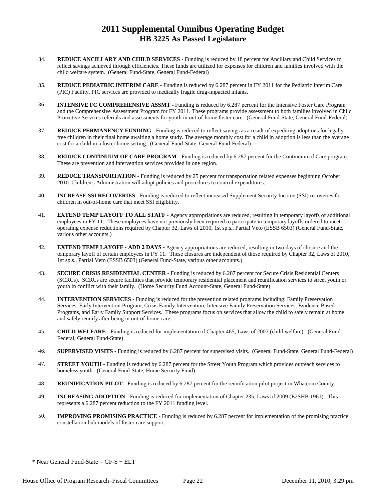- 34. **REDUCE ANCILLARY AND CHILD SERVICES** Funding is reduced by 18 percent for Ancillary and Child Services to reflect savings achieved through efficiencies. These funds are utilized for expenses for children and families involved with the child welfare system. (General Fund-State, General Fund-Federal)
- 35. **REDUCE PEDIATRIC INTERIM CARE** Funding is reduced by 6.287 percent in FY 2011 for the Pediatric Interim Care (PIC) Facility. PIC services are provided to medically fragile drug-impacted infants.
- 36. **INTENSIVE FC COMPREHENSIVE ASSMT** Funding is reduced by 6.287 percent for the Intensive Foster Care Program and the Comprehensive Assessment Program for FY 2011. These programs provide assessment to both families involved in Child Protective Services referrals and assessments for youth in out-of-home foster care. (General Fund-State, General Fund-Federal)
- 37. **REDUCE PERMANENCY FUNDING** Funding is reduced to reflect savings as a result of expediting adoptions for legally free children in their final home awaiting a home study. The average monthly cost for a child in adoption is less than the average cost for a child in a foster home setting. (General Fund-State, General Fund-Federal)
- 38. **REDUCE CONTINUUM OF CARE PROGRAM** Funding is reduced by 6.287 percent for the Continuum of Care program. These are prevention and intervention services provided in one region.
- 39. **REDUCE TRANSPORTATION** Funding is reduced by 25 percent for transportation related expenses beginning October 2010. Children's Administration will adopt policies and procedures to control expenditures.
- 40. **INCREASE SSI RECOVERIES** Funding is reduced to reflect increased Supplement Security Income (SSI) recoveries for children in out-of-home care that meet SSI eligibility.
- 41. **EXTEND TEMP LAYOFF TO ALL STAFF** Agency appropriations are reduced, resulting in temporary layoffs of additional employees in FY 11. These employees have not previously been required to participate in temporary layoffs ordered to meet operating expense reductions required by Chapter 32, Laws of 2010, 1st sp.s., Partial Veto (ESSB 6503) (General Fund-State, various other accounts.)
- 42. **EXTEND TEMP LAYOFF ADD 2 DAYS** Agency appropriations are reduced, resulting in two days of closure and the temporary layoff of certain employees in FY 11. These closures are independent of those required by Chapter 32, Laws of 2010, 1st sp.s., Partial Veto (ESSB 6503) (General Fund-State, various other accounts.)
- 43. **SECURE CRISIS RESIDENTIAL CENTER** Funding is reduced by 6.287 percent for Secure Crisis Residential Centers (SCRCs). SCRCs are secure facilities that provide temporary residential placement and reunification services to street youth or youth in conflict with their family. (Home Security Fund Account-State, General Fund-State)
- 44. **INTERVENTION SERVICES** Funding is reduced for the prevention related programs including: Family Preservation Services, Early Intervention Program, Crisis Family Intervention, Intensive Family Preservation Services, Evidence Based Programs, and Early Family Support Services. These programs focus on services that allow the child to safely remain at home and safely reunify after being in out-of-home care.
- 45. **CHILD WELFARE** Funding is reduced for implementation of Chapter 465, Laws of 2007 (child welfare). (General Fund-Federal, General Fund-State)
- 46. **SUPERVISED VISITS** Funding is reduced by 6.287 percent for supervised visits. (General Fund-State, General Fund-Federal)
- 47. **STREET YOUTH** Funding is reduced by 6.287 percent for the Street Youth Program which provides outreach services to homeless youth. (General Fund-State, Home Security Fund)
- 48. **REUNIFICATION PILOT** Funding is reduced by 6.287 percent for the reunification pilot project in Whatcom County.
- 49. **INCREASING ADOPTION** Funding is reduced for implementation of Chapter 235, Laws of 2009 (E2SHB 1961). This represents a 6.287 percent reduction to the FY 2011 funding level.
- 50. **IMPROVING PROMISING PRACTICE** Funding is reduced by 6.287 percent for implementation of the promising practice constellation hub models of foster care support.

 $*$  Near General Fund-State = GF-S + ELT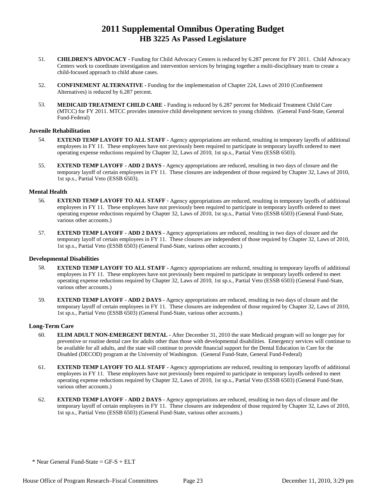- 51. **CHILDREN'S ADVOCACY** Funding for Child Advocacy Centers is reduced by 6.287 percent for FY 2011. Child Advocacy Centers work to coordinate investigation and intervention services by bringing together a multi-disciplinary team to create a child-focused approach to child abuse cases.
- 52. **CONFINEMENT ALTERNATIVE** Funding for the implementation of Chapter 224, Laws of 2010 (Confinement Alternatives) is reduced by 6.287 percent.
- 53. **MEDICAID TREATMENT CHILD CARE** Funding is reduced by 6.287 percent for Medicaid Treatment Child Care (MTCC) for FY 2011. MTCC provides intensive child development services to young children. (General Fund-State, General Fund-Federal)

#### **Juvenile Rehabilitation**

- 54. **EXTEND TEMP LAYOFF TO ALL STAFF** Agency appropriations are reduced, resulting in temporary layoffs of additional employees in FY 11. These employees have not previously been required to participate in temporary layoffs ordered to meet operating expense reductions required by Chapter 32, Laws of 2010, 1st sp.s., Partial Veto (ESSB 6503).
- 55. **EXTEND TEMP LAYOFF ADD 2 DAYS** Agency appropriations are reduced, resulting in two days of closure and the temporary layoff of certain employees in FY 11. These closures are independent of those required by Chapter 32, Laws of 2010, 1st sp.s., Partial Veto (ESSB 6503).

#### **Mental Health**

- 56. **EXTEND TEMP LAYOFF TO ALL STAFF** Agency appropriations are reduced, resulting in temporary layoffs of additional employees in FY 11. These employees have not previously been required to participate in temporary layoffs ordered to meet operating expense reductions required by Chapter 32, Laws of 2010, 1st sp.s., Partial Veto (ESSB 6503) (General Fund-State, various other accounts.)
- 57. **EXTEND TEMP LAYOFF ADD 2 DAYS** Agency appropriations are reduced, resulting in two days of closure and the temporary layoff of certain employees in FY 11. These closures are independent of those required by Chapter 32, Laws of 2010, 1st sp.s., Partial Veto (ESSB 6503) (General Fund-State, various other accounts.)

#### **Developmental Disabilities**

- 58. **EXTEND TEMP LAYOFF TO ALL STAFF** Agency appropriations are reduced, resulting in temporary layoffs of additional employees in FY 11. These employees have not previously been required to participate in temporary layoffs ordered to meet operating expense reductions required by Chapter 32, Laws of 2010, 1st sp.s., Partial Veto (ESSB 6503) (General Fund-State, various other accounts.)
- 59. **EXTEND TEMP LAYOFF ADD 2 DAYS** Agency appropriations are reduced, resulting in two days of closure and the temporary layoff of certain employees in FY 11. These closures are independent of those required by Chapter 32, Laws of 2010, 1st sp.s., Partial Veto (ESSB 6503) (General Fund-State, various other accounts.)

#### **Long-Term Care**

- 60. **ELIM ADULT NON-EMERGENT DENTAL** After December 31, 2010 the state Medicaid program will no longer pay for preventive or routine dental care for adults other than those with developmental disabilities. Emergency services will continue to be available for all adults, and the state will continue to provide financial support for the Dental Education in Care for the Disabled (DECOD) program at the University of Washington. (General Fund-State, General Fund-Federal)
- 61. **EXTEND TEMP LAYOFF TO ALL STAFF** Agency appropriations are reduced, resulting in temporary layoffs of additional employees in FY 11. These employees have not previously been required to participate in temporary layoffs ordered to meet operating expense reductions required by Chapter 32, Laws of 2010, 1st sp.s., Partial Veto (ESSB 6503) (General Fund-State, various other accounts.)
- 62. **EXTEND TEMP LAYOFF ADD 2 DAYS** Agency appropriations are reduced, resulting in two days of closure and the temporary layoff of certain employees in FY 11. These closures are independent of those required by Chapter 32, Laws of 2010, 1st sp.s., Partial Veto (ESSB 6503) (General Fund-State, various other accounts.)

 $*$  Near General Fund-State = GF-S + ELT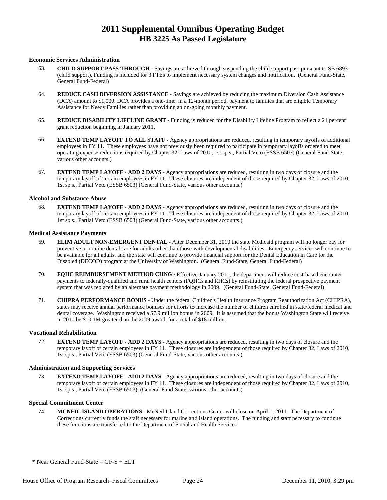#### **Economic Services Administration**

- 63. **CHILD SUPPORT PASS THROUGH** Savings are achieved through suspending the child support pass pursuant to SB 6893 (child support). Funding is included for 3 FTEs to implement necessary system changes and notification. (General Fund-State, General Fund-Federal)
- 64. **REDUCE CASH DIVERSION ASSISTANCE** Savings are achieved by reducing the maximum Diversion Cash Assistance (DCA) amount to \$1,000. DCA provides a one-time, in a 12-month period, payment to families that are eligible Temporary Assistance for Needy Families rather than providing an on-going monthly payment.
- 65. **REDUCE DISABILITY LIFELINE GRANT** Funding is reduced for the Disability Lifeline Program to reflect a 21 percent grant reduction beginning in January 2011.
- 66. **EXTEND TEMP LAYOFF TO ALL STAFF** Agency appropriations are reduced, resulting in temporary layoffs of additional employees in FY 11. These employees have not previously been required to participate in temporary layoffs ordered to meet operating expense reductions required by Chapter 32, Laws of 2010, 1st sp.s., Partial Veto (ESSB 6503) (General Fund-State, various other accounts.)
- 67. **EXTEND TEMP LAYOFF ADD 2 DAYS** Agency appropriations are reduced, resulting in two days of closure and the temporary layoff of certain employees in FY 11. These closures are independent of those required by Chapter 32, Laws of 2010, 1st sp.s., Partial Veto (ESSB 6503) (General Fund-State, various other accounts.)

#### **Alcohol and Substance Abuse**

68. **EXTEND TEMP LAYOFF - ADD 2 DAYS -** Agency appropriations are reduced, resulting in two days of closure and the temporary layoff of certain employees in FY 11. These closures are independent of those required by Chapter 32, Laws of 2010, 1st sp.s., Partial Veto (ESSB 6503) (General Fund-State, various other accounts.)

#### **Medical Assistance Payments**

- 69. **ELIM ADULT NON-EMERGENT DENTAL** After December 31, 2010 the state Medicaid program will no longer pay for preventive or routine dental care for adults other than those with developmental disabilities. Emergency services will continue to be available for all adults, and the state will continue to provide financial support for the Dental Education in Care for the Disabled (DECOD) program at the University of Washington. (General Fund-State, General Fund-Federal)
- 70. **FQHC REIMBURSEMENT METHOD CHNG** Effective January 2011, the department will reduce cost-based encounter payments to federally-qualified and rural health centers (FQHCs and RHCs) by reinstituting the federal prospective payment system that was replaced by an alternate payment methodology in 2009. (General Fund-State, General Fund-Federal)
- 71. **CHIPRA PERFORMANCE BONUS** Under the federal Children's Health Insurance Program Reauthorization Act (CHIPRA), states may receive annual performance bonuses for efforts to increase the number of children enrolled in state/federal medical and dental coverage. Washington received a \$7.9 million bonus in 2009. It is assumed that the bonus Washington State will receive in 2010 be \$10.1M greater than the 2009 award, for a total of \$18 million.

#### **Vocational Rehabilitation**

72. **EXTEND TEMP LAYOFF - ADD 2 DAYS -** Agency appropriations are reduced, resulting in two days of closure and the temporary layoff of certain employees in FY 11. These closures are independent of those required by Chapter 32, Laws of 2010, 1st sp.s., Partial Veto (ESSB 6503) (General Fund-State, various other accounts.)

#### **Administration and Supporting Services**

73. **EXTEND TEMP LAYOFF - ADD 2 DAYS -** Agency appropriations are reduced, resulting in two days of closure and the temporary layoff of certain employees in FY 11. These closures are independent of those required by Chapter 32, Laws of 2010, 1st sp.s., Partial Veto (ESSB 6503). (General Fund-State, various other accounts)

#### **Special Commitment Center**

74. **MCNEIL ISLAND OPERATIONS -** McNeil Island Corrections Center will close on April 1, 2011. The Department of Corrections currently funds the staff necessary for marine and island operations. The funding and staff necessary to continue these functions are transferred to the Department of Social and Health Services.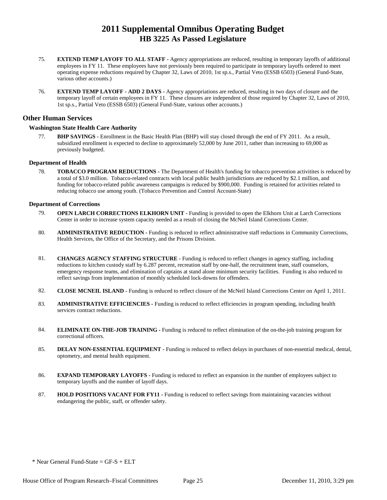- 75. **EXTEND TEMP LAYOFF TO ALL STAFF** Agency appropriations are reduced, resulting in temporary layoffs of additional employees in FY 11. These employees have not previously been required to participate in temporary layoffs ordered to meet operating expense reductions required by Chapter 32, Laws of 2010, 1st sp.s., Partial Veto (ESSB 6503) (General Fund-State, various other accounts.)
- 76. **EXTEND TEMP LAYOFF ADD 2 DAYS** Agency appropriations are reduced, resulting in two days of closure and the temporary layoff of certain employees in FY 11. These closures are independent of those required by Chapter 32, Laws of 2010, 1st sp.s., Partial Veto (ESSB 6503) (General Fund-State, various other accounts.)

#### **Other Human Services**

#### **Washington State Health Care Authority**

77. **BHP SAVINGS -** Enrollment in the Basic Health Plan (BHP) will stay closed through the end of FY 2011. As a result, subsidized enrollment is expected to decline to approximately 52,000 by June 2011, rather than increasing to 69,000 as previously budgeted.

#### **Department of Health**

78. **TOBACCO PROGRAM REDUCTIONS -** The Department of Health's funding for tobacco prevention activitites is reduced by a total of \$3.0 million. Tobacco-related contracts with local public health jurisdictions are reduced by \$2.1 million, and funding for tobacco-related public awareness campaigns is reduced by \$900,000. Funding is retained for activities related to reducing tobacco use among youth. (Tobacco Prevention and Control Account-State)

#### **Department of Corrections**

- 79. **OPEN LARCH CORRECTIONS ELKHORN UNIT** Funding is provided to open the Elkhorn Unit at Larch Corrections Center in order to increase system capacity needed as a result of closing the McNeil Island Corrections Center.
- 80. **ADMINISTRATIVE REDUCTION** Funding is reduced to reflect administrative staff reductions in Community Corrections, Health Services, the Office of the Secretary, and the Prisons Division.
- 81. **CHANGES AGENCY STAFFING STRUCTURE** Funding is reduced to reflect changes in agency staffing, including reductions to kitchen custody staff by 6.287 percent, recreation staff by one-half, the recruitment team, staff counselors, emergency response teams, and elimination of captains at stand alone minimum security facilities. Funding is also reduced to reflect savings from implementation of monthly scheduled lock-downs for offenders.
- 82. **CLOSE MCNEIL ISLAND** Funding is reduced to reflect closure of the McNeil Island Corrections Center on April 1, 2011.
- 83. **ADMINISTRATIVE EFFICIENCIES** Funding is reduced to reflect efficiencies in program spending, including health services contract reductions.
- 84. **ELIMINATE ON-THE-JOB TRAINING** Funding is reduced to reflect elimination of the on-the-job training program for correctional officers.
- 85. **DELAY NON-ESSENTIAL EQUIPMENT** Funding is reduced to reflect delays in purchases of non-essential medical, dental, optometry, and mental health equipment.
- 86. **EXPAND TEMPORARY LAYOFFS** Funding is reduced to reflect an expansion in the number of employees subject to temporary layoffs and the number of layoff days.
- 87. **HOLD POSITIONS VACANT FOR FY11** Funding is reduced to reflect savings from maintaining vacancies without endangering the public, staff, or offender safety.

 $*$  Near General Fund-State = GF-S + ELT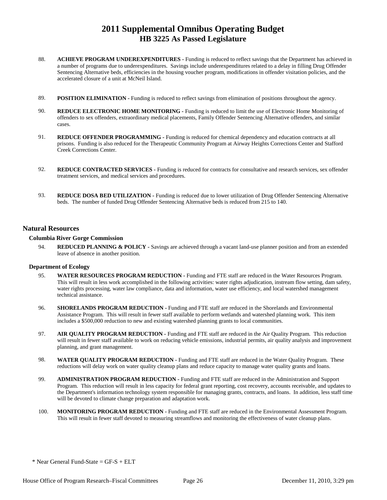- 88. **ACHIEVE PROGRAM UNDEREXPENDITURES** Funding is reduced to reflect savings that the Department has achieved in a number of programs due to underexpenditures. Savings include underexpenditures related to a delay in filling Drug Offender Sentencing Alternative beds, efficiencies in the housing voucher program, modifications in offender visitation policies, and the accelerated closure of a unit at McNeil Island.
- 89. **POSITION ELIMINATION -** Funding is reduced to reflect savings from elimination of positions throughout the agency.
- 90. **REDUCE ELECTRONIC HOME MONITORING** Funding is reduced to limit the use of Electronic Home Monitoring of offenders to sex offenders, extraordinary medical placements, Family Offender Sentencing Alternative offenders, and similar cases.
- 91. **REDUCE OFFENDER PROGRAMMING** Funding is reduced for chemical dependency and education contracts at all prisons. Funding is also reduced for the Therapeutic Community Program at Airway Heights Corrections Center and Stafford Creek Corrections Center.
- 92. **REDUCE CONTRACTED SERVICES** Funding is reduced for contracts for consultative and research services, sex offender treatment services, and medical services and procedures.
- 93. **REDUCE DOSA BED UTILIZATION -** Funding is reduced due to lower utilization of Drug Offender Sentencing Alternative beds. The number of funded Drug Offender Sentencing Alternative beds is reduced from 215 to 140.

#### **Natural Resources**

#### **Columbia River Gorge Commission**

94. **REDUCED PLANNING & POLICY -** Savings are achieved through a vacant land-use planner position and from an extended leave of absence in another position.

#### **Department of Ecology**

- 95. **WATER RESOURCES PROGRAM REDUCTION** Funding and FTE staff are reduced in the Water Resources Program. This will result in less work accomplished in the following activities: water rights adjudication, instream flow setting, dam safety, water rights processing, water law compliance, data and information, water use efficiency, and local watershed management technical assistance.
- 96. **SHORELANDS PROGRAM REDUCTION** Funding and FTE staff are reduced in the Shorelands and Environmental Assistance Program. This will result in fewer staff available to perform wetlands and watershed planning work. This item includes a \$500,000 reduction to new and existing watershed planning grants to local communities.
- 97. **AIR QUALITY PROGRAM REDUCTION** Funding and FTE staff are reduced in the Air Quality Program. This reduction will result in fewer staff available to work on reducing vehicle emissions, industrial permits, air quality analysis and improvement planning, and grant management.
- 98. **WATER QUALITY PROGRAM REDUCTION** Funding and FTE staff are reduced in the Water Quality Program. These reductions will delay work on water quality cleanup plans and reduce capacity to manage water quality grants and loans.
- 99. **ADMINISTRATION PROGRAM REDUCTION** Funding and FTE staff are reduced in the Administration and Support Program. This reduction will result in less capacity for federal grant reporting, cost recovery, accounts receivable, and updates to the Department's information technology system responsible for managing grants, contracts, and loans. In addition, less staff time will be devoted to climate change preparation and adaptation work.
- 100. **MONITORING PROGRAM REDUCTION** Funding and FTE staff are reduced in the Environmental Assessment Program. This will result in fewer staff devoted to measuring streamflows and monitoring the effectiveness of water cleanup plans.

 $*$  Near General Fund-State = GF-S + ELT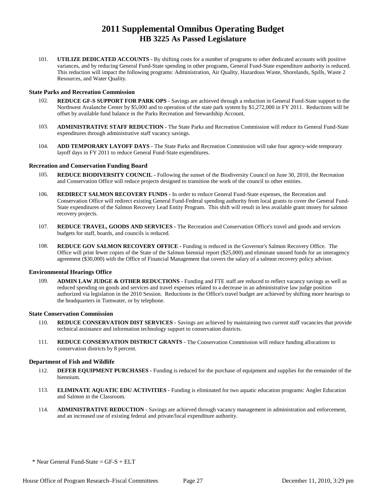101. **UTILIZE DEDICATED ACCOUNTS -** By shifting costs for a number of programs to other dedicated accounts with positive variances, and by reducing General Fund-State spending in other programs, General Fund-State expenditure authority is reduced. This reduction will impact the following programs: Administration, Air Quality, Hazardous Waste, Shorelands, Spills, Waste 2 Resources, and Water Quality.

#### **State Parks and Recreation Commission**

- 102. **REDUCE GF-S SUPPORT FOR PARK OPS** Savings are achieved through a reduction in General Fund-State support to the Northwest Avalanche Center by \$5,000 and to operation of the state park system by \$1,272,000 in FY 2011. Reductions will be offset by available fund balance in the Parks Recreation and Stewardship Account.
- 103. **ADMINISTRATIVE STAFF REDUCTION** The State Parks and Recreation Commission will reduce its General Fund-State expenditures through administrative staff vacancy savings.
- 104. **ADD TEMPORARY LAYOFF DAYS** The State Parks and Recreation Commission will take four agency-wide temporary layoff days in FY 2011 to reduce General Fund-State expenditures.

#### **Recreation and Conservation Funding Board**

- 105. **REDUCE BIODIVERSITY COUNCIL** Following the sunset of the Biodiversity Council on June 30, 2010, the Recreation and Conservation Office will reduce projects designed to transition the work of the council to other entities.
- 106. **REDIRECT SALMON RECOVERY FUNDS** In order to reduce General Fund-State expenses, the Recreation and Conservation Office will redirect existing General Fund-Federal spending authority from local grants to cover the General Fund-State expenditures of the Salmon Recovery Lead Entity Program. This shift will result in less available grant money for salmon recovery projects.
- 107. **REDUCE TRAVEL, GOODS AND SERVICES** The Recreation and Conservation Office's travel and goods and services budgets for staff, boards, and councils is reduced.
- 108. **REDUCE GOV SALMON RECOVERY OFFICE** Funding is reduced in the Governor's Salmon Recovery Office. The Office will print fewer copies of the State of the Salmon biennial report (\$25,000) and eliminate unused funds for an interagency agreement (\$30,000) with the Office of Financial Management that covers the salary of a salmon recovery policy advisor.

#### **Environmental Hearings Office**

109. **ADMIN LAW JUDGE & OTHER REDUCTIONS -** Funding and FTE staff are reduced to reflect vacancy savings as well as reduced spending on goods and services and travel expenses related to a decrease in an administrative law judge position authorized via legislation in the 2010 Session. Reductions in the Office's travel budget are achieved by shifting more hearings to the headquarters in Tumwater, or by telephone.

#### **State Conservation Commission**

- 110. **REDUCE CONSERVATION DIST SERVICES** Savings are achieved by maintaining two current staff vacancies that provide technical assistance and information technology support to conservation districts.
- 111. **REDUCE CONSERVATION DISTRICT GRANTS** The Conservation Commission will reduce funding allocations to conservation districts by 8 percent.

#### **Department of Fish and Wildlife**

- 112. **DEFER EQUIPMENT PURCHASES** Funding is reduced for the purchase of equipment and supplies for the remainder of the biennium.
- 113. **ELIMINATE AQUATIC EDU ACTIVITIES** Funding is eliminated for two aquatic education programs: Angler Education and Salmon in the Classroom.
- 114. **ADMINISTRATIVE REDUCTION** Savings are achieved through vacancy management in administration and enforcement, and an increased use of existing federal and private/local expenditure authority.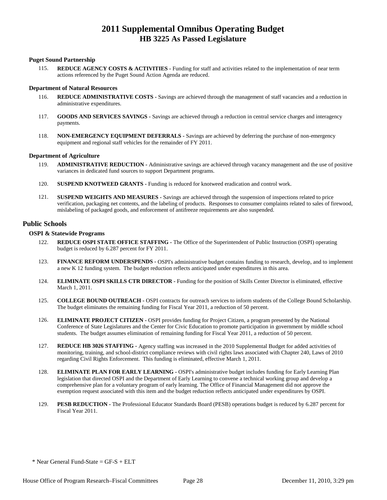#### **Puget Sound Partnership**

115. **REDUCE AGENCY COSTS & ACTIVITIES -** Funding for staff and activities related to the implementation of near term actions referenced by the Puget Sound Action Agenda are reduced.

#### **Department of Natural Resources**

- 116. **REDUCE ADMINISTRATIVE COSTS** Savings are achieved through the management of staff vacancies and a reduction in administrative expenditures.
- 117. **GOODS AND SERVICES SAVINGS** Savings are achieved through a reduction in central service charges and interagency payments.
- 118. **NON-EMERGENCY EQUIPMENT DEFERRALS** Savings are achieved by deferring the purchase of non-emergency equipment and regional staff vehicles for the remainder of FY 2011.

#### **Department of Agriculture**

- 119. **ADMINISTRATIVE REDUCTION** Administrative savings are achieved through vacancy management and the use of positive variances in dedicated fund sources to support Department programs.
- 120. **SUSPEND KNOTWEED GRANTS** Funding is reduced for knotweed eradication and control work.
- 121. **SUSPEND WEIGHTS AND MEASURES** Savings are achieved through the suspension of inspections related to price verification, packaging net contents, and the labeling of products. Responses to consumer complaints related to sales of firewood, mislabeling of packaged goods, and enforcement of antifreeze requirements are also suspended.

#### **Public Schools**

#### **OSPI & Statewide Programs**

- 122. **REDUCE OSPI STATE OFFICE STAFFING** The Office of the Superintendent of Public Instruction (OSPI) operating budget is reduced by 6.287 percent for FY 2011.
- 123. **FINANCE REFORM UNDERSPENDS** OSPI's administrative budget contains funding to research, develop, and to implement a new K 12 funding system. The budget reduction reflects anticipated under expenditures in this area.
- 124. **ELIMINATE OSPI SKILLS CTR DIRECTOR** Funding for the position of Skills Center Director is eliminated, effective March 1, 2011.
- 125. **COLLEGE BOUND OUTREACH** OSPI contracts for outreach services to inform students of the College Bound Scholarship. The budget eliminates the remaining funding for Fiscal Year 2011, a reduction of 50 percent.
- 126. **ELIMINATE PROJECT CITIZEN** OSPI provides funding for Project Citizen, a program presented by the National Conference of State Legislatures and the Center for Civic Education to promote participation in government by middle school students. The budget assumes elimination of remaining funding for Fiscal Year 2011, a reduction of 50 percent.
- 127. **REDUCE HB 3026 STAFFING** Agency staffing was increased in the 2010 Supplemental Budget for added activities of monitoring, training, and school-district compliance reviews with civil rights laws associated with Chapter 240, Laws of 2010 regarding Civil Rights Enforcement. This funding is eliminated, effective March 1, 2011.
- 128. **ELIMINATE PLAN FOR EARLY LEARNING OSPI's administrative budget includes funding for Early Learning Plan** legislation that directed OSPI and the Department of Early Learning to convene a technical working group and develop a comprehensive plan for a voluntary program of early learning. The Office of Financial Management did not approve the exemption request associated with this item and the budget reduction reflects anticipated under expenditures by OSPI.
- 129. **PESB REDUCTION** The Professional Educator Standards Board (PESB) operations budget is reduced by 6.287 percent for Fiscal Year 2011.

 $*$  Near General Fund-State = GF-S + ELT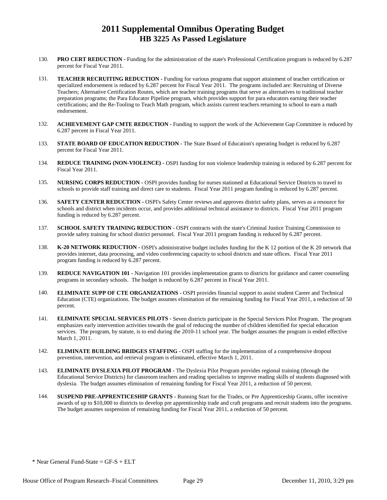- 130. **PRO CERT REDUCTION** Funding for the administration of the state's Professional Certification program is reduced by 6.287 percent for Fiscal Year 2011.
- 131. **TEACHER RECRUITING REDUCTION** Funding for various programs that support attainment of teacher certification or specialized endorsement is reduced by 6.287 percent for Fiscal Year 2011. The programs included are: Recruiting of Diverse Teachers; Alternative Certification Routes, which are teacher training programs that serve as alternatives to traditional teacher preparation programs; the Para Educator Pipeline program, which provides support for para educators earning their teacher certifications; and the Re-Tooling to Teach Math program, which assists current teachers returning to school to earn a math endorsement.
- 132. **ACHIEVEMENT GAP CMTE REDUCTION** Funding to support the work of the Achievement Gap Committee is reduced by 6.287 percent in Fiscal Year 2011.
- 133. **STATE BOARD OF EDUCATION REDUCTION** The State Board of Education's operating budget is reduced by 6.287 percent for Fiscal Year 2011.
- 134. **REDUCE TRAINING (NON-VIOLENCE)** OSPI funding for non violence leadership training is reduced by 6.287 percent for Fiscal Year 2011.
- 135. **NURSING CORPS REDUCTION** OSPI provides funding for nurses stationed at Educational Service Districts to travel to schools to provide staff training and direct care to students. Fiscal Year 2011 program funding is reduced by 6.287 percent.
- 136. **SAFETY CENTER REDUCTION** OSPI's Safety Center reviews and approves district safety plans, serves as a resource for schools and district when incidents occur, and provides additional technical assistance to districts. Fiscal Year 2011 program funding is reduced by 6.287 percent.
- 137. **SCHOOL SAFETY TRAINING REDUCTION** OSPI contracts with the state's Criminal Justice Training Commission to provide safety training for school district personnel. Fiscal Year 2011 program funding is reduced by 6.287 percent.
- 138. **K-20 NETWORK REDUCTION** OSPI's administrative budget includes funding for the K 12 portion of the K 20 network that provides internet, data processing, and video conferencing capacity to school districts and state offices. Fiscal Year 2011 program funding is reduced by 6.287 percent.
- 139. **REDUCE NAVIGATION 101** Navigation 101 provides implementation grants to districts for guidance and career counseling programs in secondary schools. The budget is reduced by 6.287 percent in Fiscal Year 2011.
- 140. **ELIMINATE SUPP OF CTE ORGANIZATIONS** OSPI provides financial support to assist student Career and Technical Education (CTE) organizations. The budget assumes elimination of the remaining funding for Fiscal Year 2011, a reduction of 50 percent.
- 141. **ELIMINATE SPECIAL SERVICES PILOTS** Seven districts participate in the Special Services Pilot Program. The program emphasizes early intervention activities towards the goal of reducing the number of children identified for special education services. The program, by statute, is to end during the 2010-11 school year. The budget assumes the program is ended effective March 1, 2011.
- 142. **ELIMINATE BUILDING BRIDGES STAFFING** OSPI staffing for the implementation of a comprehensive dropout prevention, intervention, and retrieval program is eliminated, effective March 1, 2011.
- 143. **ELIMINATE DYSLEXIA PILOT PROGRAM** The Dyslexia Pilot Program provides regional training (through the Educational Service Districts) for classroom teachers and reading specialists to improve reading skills of students diagnosed with dyslexia. The budget assumes elimination of remaining funding for Fiscal Year 2011, a reduction of 50 percent.
- 144. **SUSPEND PRE-APPRENTICESHIP GRANTS** Running Start for the Trades, or Pre Apprenticeship Grants, offer incentive awards of up to \$10,000 to districts to develop pre apprenticeship trade and craft programs and recruit students into the programs. The budget assumes suspension of remaining funding for Fiscal Year 2011, a reduction of 50 percent.

 $*$  Near General Fund-State = GF-S + ELT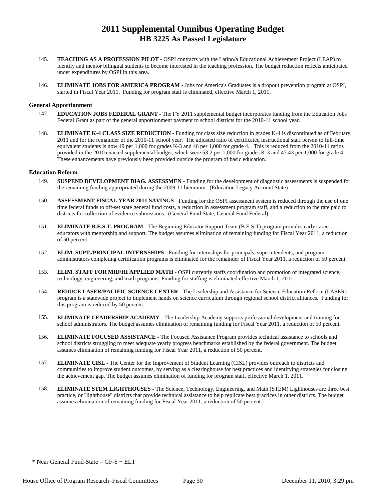- 145. **TEACHING AS A PROFESSION PILOT** OSPI contracts with the Latino/a Educational Achievement Project (LEAP) to identify and mentor bilingual students to become interested in the teaching profession. The budget reduction reflects anticipated under expenditures by OSPI in this area.
- 146. **ELIMINATE JOBS FOR AMERICA PROGRAM** Jobs for America's Graduates is a dropout prevention program at OSPI, started in Fiscal Year 2011. Funding for program staff is eliminated, effective March 1, 2011.

#### **General Apportionment**

- 147. **EDUCATION JOBS FEDERAL GRANT** The FY 2011 supplemental budget incorporates funding from the Education Jobs Federal Grant as part of the general apportionment payment to school districts for the 2010-11 school year.
- 148. **ELIMINATE K-4 CLASS SIZE REDUCTION** Funding for class size reduction in grades K-4 is discontinued as of February, 2011 and for the remainder of the 2010-11 school year. The adjusted ratio of certificated instructional staff person to full-time equivalent students is now 49 per 1,000 for grades K-3 and 46 per 1,000 for grade 4. This is reduced from the 2010-11 ratios provided in the 2010 enacted supplemental budget, which were 53.2 per 1,000 for grades K-3 and 47.43 per 1,000 for grade 4. These enhancements have previously been provided outside the program of basic education.

#### **Education Reform**

- 149. **SUSPEND DEVELOPMENT DIAG. ASSESSMEN** Funding for the development of diagnostic assessments is suspended for the remaining funding appropriated during the 2009 11 biennium. (Education Legacy Account State)
- 150. **ASSESSMENT FISCAL YEAR 2011 SAVINGS** Funding for the OSPI assessment system is reduced through the use of one time federal funds to off-set state general fund costs, a reduction in assessment program staff, and a reduction to the rate paid to districts for collection of evidence submissions. (General Fund State, General Fund Federal)
- 151. **ELIMINATE B.E.S.T. PROGRAM** The Beginning Educator Support Team (B.E.S.T) program provides early career educators with mentorship and support. The budget assumes elimination of remaining funding for Fiscal Year 2011, a reduction of 50 percent.
- 152. **ELIM. SUPT./PRINCIPAL INTERNSHIPS** Funding for internships for principals, superintendents, and program administrators completing certification programs is eliminated for the remainder of Fiscal Year 2011, a reduction of 50 percent.
- 153. **ELIM. STAFF FOR MID/HI APPLIED MATH** OSPI currently staffs coordination and promotion of integrated science, technology, engineering, and math programs. Funding for staffing is eliminated effective March 1, 2011.
- 154. **REDUCE LASER/PACIFIC SCIENCE CENTER** The Leadership and Assistance for Science Education Reform (LASER) program is a statewide project to implement hands on science curriculum through regional school district alliances. Funding for this program is reduced by 50 percent.
- 155. **ELIMINATE LEADERSHIP ACADEMY** The Leadership Academy supports professional development and training for school administrators. The budget assumes elimination of remaining funding for Fiscal Year 2011, a reduction of 50 percent.
- 156. **ELIMINATE FOCUSED ASSISTANCE** The Focused Assistance Program provides technical assistance to schools and school districts struggling to meet adequate yearly progress benchmarks established by the federal government. The budget assumes elimination of remaining funding for Fiscal Year 2011, a reduction of 50 percent.
- 157. **ELIMINATE CISL** The Center for the Improvement of Student Learning (CISL) provides outreach to districts and communities to improve student outcomes, by serving as a clearinghouse for best practices and identifying strategies for closing the achievement gap. The budget assumes elimination of funding for program staff, effective March 1, 2011.
- 158. **ELIMINATE STEM LIGHTHOUSES** The Science, Technology, Engineering, and Math (STEM) Lighthouses are three best practice, or "lighthouse" districts that provide technical assistance to help replicate best practices in other districts. The budget assumes elimination of remaining funding for Fiscal Year 2011, a reduction of 50 percent.

 $*$  Near General Fund-State = GF-S + ELT